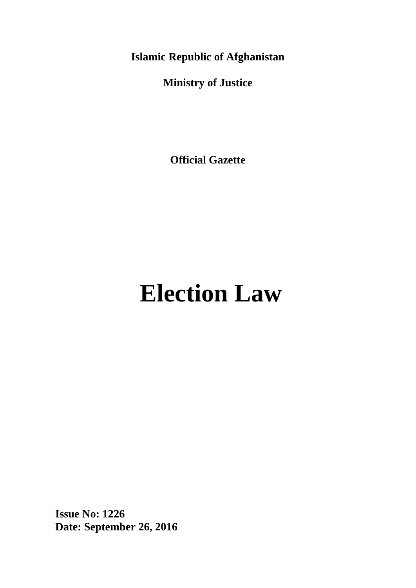**Islamic Republic of Afghanistan**

**Ministry of Justice**

**Official Gazette**

# **Election Law**

**Issue No: 1226 Date: September 26, 2016**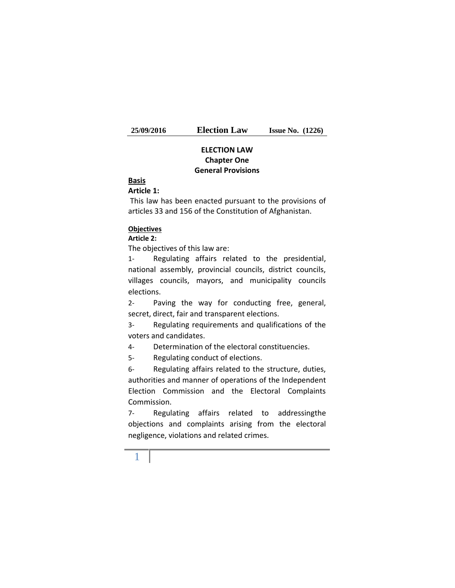# **ELECTION LAW Chapter One General Provisions**

#### **Basis**

#### **Article 1:**

This law has been enacted pursuant to the provisions of articles 33 and 156 of the Constitution of Afghanistan.

#### **Objectives**

#### **Article 2:**

The objectives of this law are:

1- Regulating affairs related to the presidential, national assembly, provincial councils, district councils, villages councils, mayors, and municipality councils elections.

2- Paving the way for conducting free, general, secret, direct, fair and transparent elections.

3- Regulating requirements and qualifications of the voters and candidates.

4- Determination of the electoral constituencies.

5- Regulating conduct of elections.

6- Regulating affairs related to the structure, duties, authorities and manner of operations of the Independent Election Commission and the Electoral Complaints Commission.

7- Regulating affairs related to addressingthe objections and complaints arising from the electoral negligence, violations and related crimes.

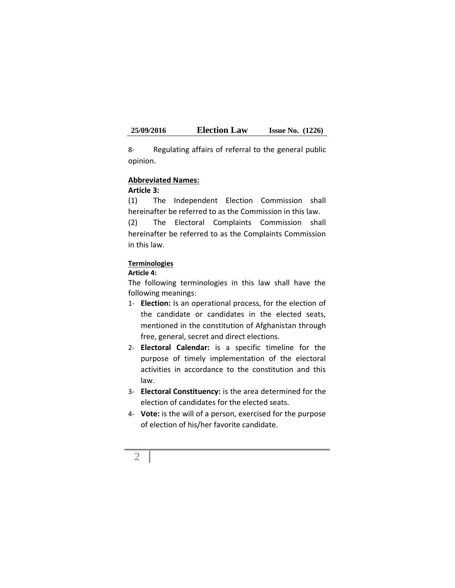8- Regulating affairs of referral to the general public opinion.

#### **Abbreviated Names:**

#### **Article 3:**

(1) The Independent Election Commission shall hereinafter be referred to as the Commission in this law. (2) The Electoral Complaints Commission shall

hereinafter be referred to as the Complaints Commission in this law.

## **Terminologies**

#### **Article 4:**

The following terminologies in this law shall have the following meanings:

- 1- **Election:** Is an operational process, for the election of the candidate or candidates in the elected seats, mentioned in the constitution of Afghanistan through free, general, secret and direct elections.
- 2- **Electoral Calendar:** is a specific timeline for the purpose of timely implementation of the electoral activities in accordance to the constitution and this law.
- 3- **Electoral Constituency:** is the area determined for the election of candidates for the elected seats.
- 4- **Vote:** is the will of a person, exercised for the purpose of election of his/her favorite candidate.

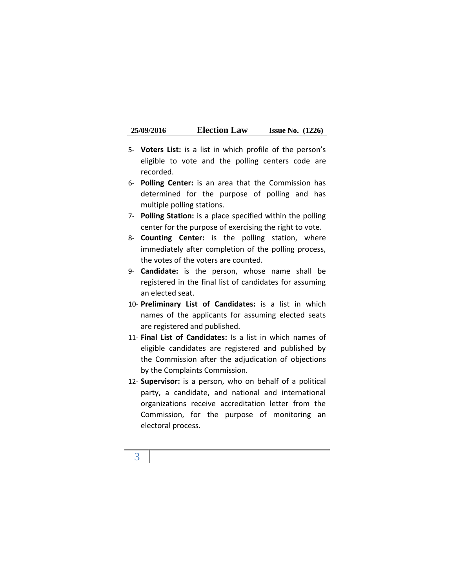| 25/09/2016 | <b>Election Law</b> | <b>Issue No.</b> $(1226)$ |  |
|------------|---------------------|---------------------------|--|
|------------|---------------------|---------------------------|--|

- 5- **Voters List:** is a list in which profile of the person's eligible to vote and the polling centers code are recorded.
- 6- **Polling Center:** is an area that the Commission has determined for the purpose of polling and has multiple polling stations.
- 7- **Polling Station:** is a place specified within the polling center for the purpose of exercising the right to vote.
- 8- **Counting Center:** is the polling station, where immediately after completion of the polling process, the votes of the voters are counted.
- 9- **Candidate:** is the person, whose name shall be registered in the final list of candidates for assuming an elected seat.
- 10- **Preliminary List of Candidates:** is a list in which names of the applicants for assuming elected seats are registered and published.
- 11- **Final List of Candidates:** Is a list in which names of eligible candidates are registered and published by the Commission after the adjudication of objections by the Complaints Commission.
- 12- **Supervisor:** is a person, who on behalf of a political party, a candidate, and national and international organizations receive accreditation letter from the Commission, for the purpose of monitoring an electoral process.

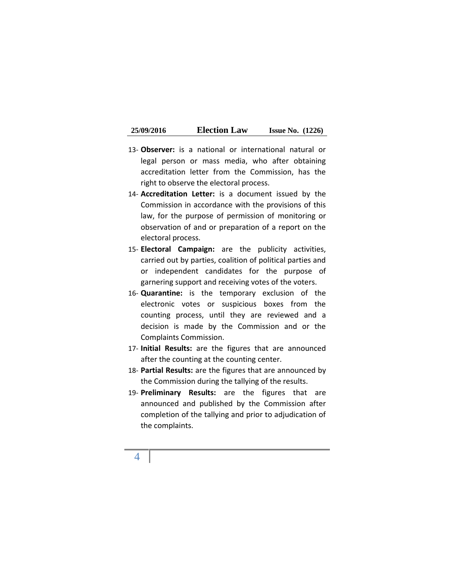| 25/09/2016 | <b>Election Law</b> | <b>Issue No.</b> $(1226)$ |  |
|------------|---------------------|---------------------------|--|
|------------|---------------------|---------------------------|--|

- 13- **Observer:** is a national or international natural or legal person or mass media, who after obtaining accreditation letter from the Commission, has the right to observe the electoral process.
- 14- **Accreditation Letter:** is a document issued by the Commission in accordance with the provisions of this law, for the purpose of permission of monitoring or observation of and or preparation of a report on the electoral process.
- 15- **Electoral Campaign:** are the publicity activities, carried out by parties, coalition of political parties and or independent candidates for the purpose of garnering support and receiving votes of the voters.
- 16- **Quarantine:** is the temporary exclusion of the electronic votes or suspicious boxes from the counting process, until they are reviewed and a decision is made by the Commission and or the Complaints Commission.
- 17- **Initial Results:** are the figures that are announced after the counting at the counting center.
- 18- **Partial Results:** are the figures that are announced by the Commission during the tallying of the results.
- 19- **Preliminary Results:** are the figures that are announced and published by the Commission after completion of the tallying and prior to adjudication of the complaints.

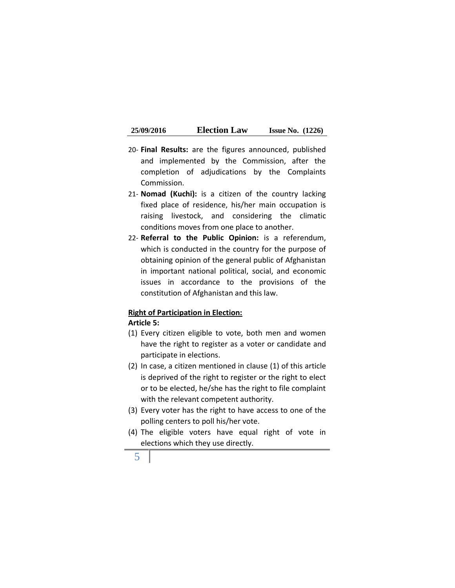- 20- **Final Results:** are the figures announced, published and implemented by the Commission, after the completion of adjudications by the Complaints Commission.
- 21- **Nomad (Kuchi):** is a citizen of the country lacking fixed place of residence, his/her main occupation is raising livestock, and considering the climatic conditions moves from one place to another.
- 22- **Referral to the Public Opinion:** is a referendum, which is conducted in the country for the purpose of obtaining opinion of the general public of Afghanistan in important national political, social, and economic issues in accordance to the provisions of the constitution of Afghanistan and this law.

#### **Right of Participation in Election:**

#### **Article 5:**

- (1) Every citizen eligible to vote, both men and women have the right to register as a voter or candidate and participate in elections.
- (2) In case, a citizen mentioned in clause (1) of this article is deprived of the right to register or the right to elect or to be elected, he/she has the right to file complaint with the relevant competent authority.
- (3) Every voter has the right to have access to one of the polling centers to poll his/her vote.
- (4) The eligible voters have equal right of vote in elections which they use directly.
	- 5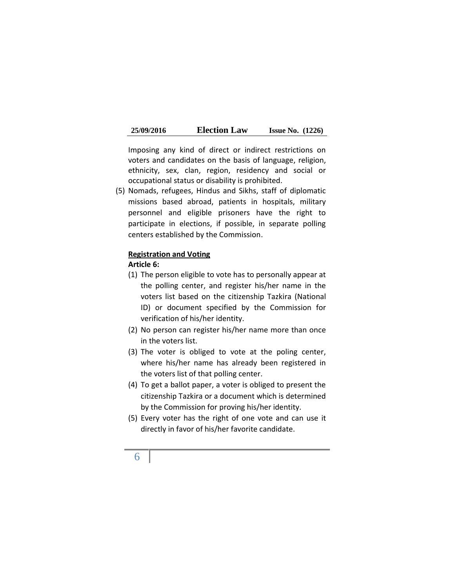| 25/09/2016 | <b>Election Law</b> | <b>Issue No.</b> $(1226)$ |  |
|------------|---------------------|---------------------------|--|
|------------|---------------------|---------------------------|--|

Imposing any kind of direct or indirect restrictions on voters and candidates on the basis of language, religion, ethnicity, sex, clan, region, residency and social or occupational status or disability is prohibited.

(5) Nomads, refugees, Hindus and Sikhs, staff of diplomatic missions based abroad, patients in hospitals, military personnel and eligible prisoners have the right to participate in elections, if possible, in separate polling centers established by the Commission.

#### **Registration and Voting**

#### **Article 6:**

- (1) The person eligible to vote has to personally appear at the polling center, and register his/her name in the voters list based on the citizenship Tazkira (National ID) or document specified by the Commission for verification of his/her identity.
- (2) No person can register his/her name more than once in the voters list.
- (3) The voter is obliged to vote at the poling center, where his/her name has already been registered in the voters list of that polling center.
- (4) To get a ballot paper, a voter is obliged to present the citizenship Tazkira or a document which is determined by the Commission for proving his/her identity.
- (5) Every voter has the right of one vote and can use it directly in favor of his/her favorite candidate.

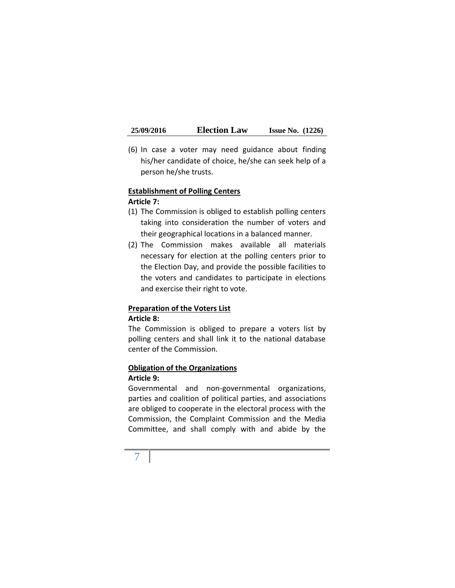(6) In case a voter may need guidance about finding his/her candidate of choice, he/she can seek help of a person he/she trusts.

#### **Establishment of Polling Centers Article 7:**

- (1) The Commission is obliged to establish polling centers taking into consideration the number of voters and their geographical locations in a balanced manner.
- (2) The Commission makes available all materials necessary for election at the polling centers prior to the Election Day, and provide the possible facilities to the voters and candidates to participate in elections and exercise their right to vote.

# **Preparation of the Voters List**

## **Article 8:**

The Commission is obliged to prepare a voters list by polling centers and shall link it to the national database center of the Commission.

# **Obligation of the Organizations**

#### **Article 9:**

Governmental and non-governmental organizations, parties and coalition of political parties, and associations are obliged to cooperate in the electoral process with the Commission, the Complaint Commission and the Media Committee, and shall comply with and abide by the

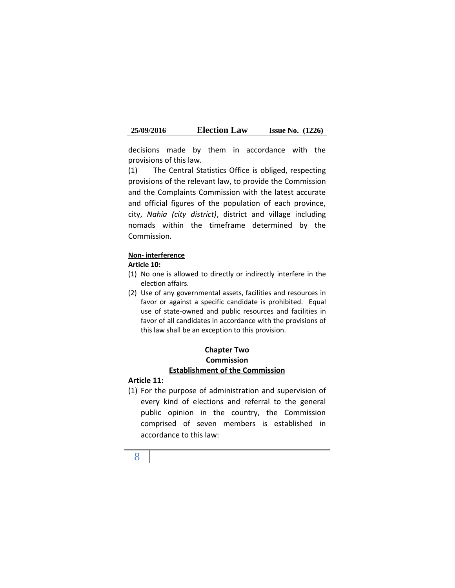| 25/09/2016 | <b>Election Law</b> | <b>Issue No.</b> $(1226)$ |  |
|------------|---------------------|---------------------------|--|
|------------|---------------------|---------------------------|--|

decisions made by them in accordance with the provisions of this law.

(1) The Central Statistics Office is obliged, respecting provisions of the relevant law, to provide the Commission and the Complaints Commission with the latest accurate and official figures of the population of each province, city, *Nahia (city district)*, district and village including nomads within the timeframe determined by the Commission.

#### **Non- interference**

#### **Article 10:**

- (1) No one is allowed to directly or indirectly interfere in the election affairs.
- (2) Use of any governmental assets, facilities and resources in favor or against a specific candidate is prohibited. Equal use of state-owned and public resources and facilities in favor of all candidates in accordance with the provisions of this law shall be an exception to this provision.

## **Chapter Two Commission Establishment of the Commission**

#### **Article 11:**

(1) For the purpose of administration and supervision of every kind of elections and referral to the general public opinion in the country, the Commission comprised of seven members is established in accordance to this law:

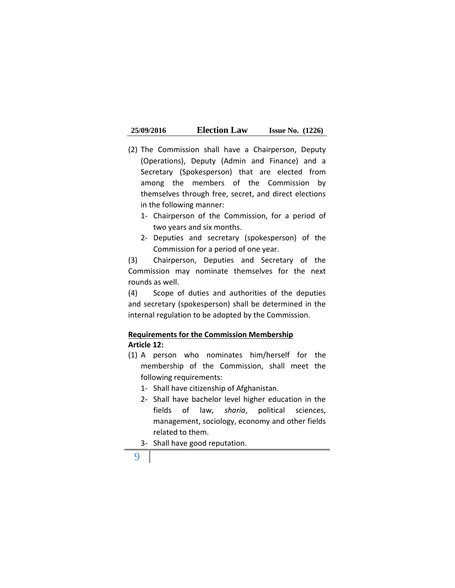- (2) The Commission shall have a Chairperson, Deputy (Operations), Deputy (Admin and Finance) and a Secretary (Spokesperson) that are elected from among the members of the Commission by themselves through free, secret, and direct elections in the following manner:
	- 1- Chairperson of the Commission, for a period of two years and six months.
	- 2- Deputies and secretary (spokesperson) of the Commission for a period of one year.

(3) Chairperson, Deputies and Secretary of the Commission may nominate themselves for the next rounds as well.

(4) Scope of duties and authorities of the deputies and secretary (spokesperson) shall be determined in the internal regulation to be adopted by the Commission.

# **Requirements for the Commission Membership Article 12:**

- (1) A person who nominates him/herself for the membership of the Commission, shall meet the following requirements:
	- 1- Shall have citizenship of Afghanistan.
	- 2- Shall have bachelor level higher education in the fields of law, *sharia*, political sciences, management, sociology, economy and other fields related to them.
	- 3- Shall have good reputation.
	- 9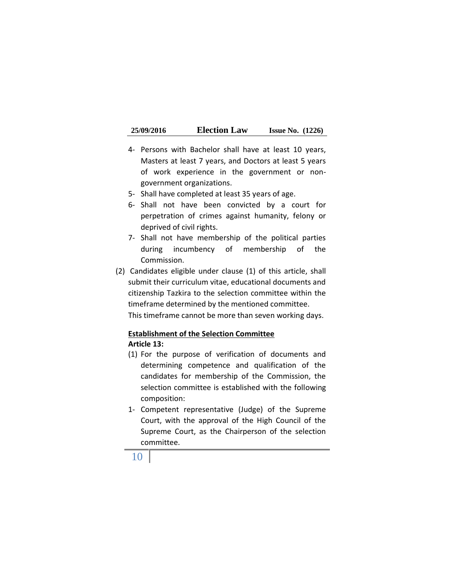| 25/09/2016 | <b>Election Law</b> | <b>Issue No.</b> $(1226)$ |  |
|------------|---------------------|---------------------------|--|
|------------|---------------------|---------------------------|--|

- 4- Persons with Bachelor shall have at least 10 years, Masters at least 7 years, and Doctors at least 5 years of work experience in the government or non government organizations.
- 5- Shall have completed at least 35 years of age.
- 6- Shall not have been convicted by a court for perpetration of crimes against humanity, felony or deprived of civil rights.
- 7- Shall not have membership of the political parties during incumbency of membership of the Commission.
- (2) Candidates eligible under clause (1) of this article, shall submit their curriculum vitae, educational documents and citizenship Tazkira to the selection committee within the timeframe determined by the mentioned committee. This timeframe cannot be more than seven working days.

## **Establishment of the Selection Committee**

## **Article 13:**

- (1) For the purpose of verification of documents and determining competence and qualification of the candidates for membership of the Commission, the selection committee is established with the following composition:
- 1- Competent representative (Judge) of the Supreme Court, with the approval of the High Council of the Supreme Court, as the Chairperson of the selection committee.

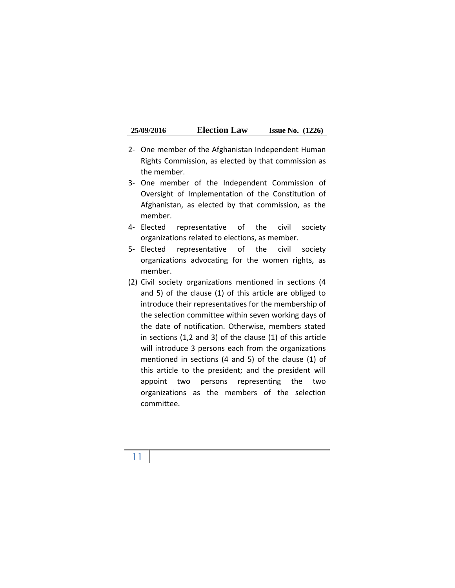| 25/09/2016 | <b>Election Law</b> | <b>Issue No.</b> $(1226)$ |  |
|------------|---------------------|---------------------------|--|
|------------|---------------------|---------------------------|--|

- 2- One member of the Afghanistan Independent Human Rights Commission, as elected by that commission as the member.
- 3- One member of the Independent Commission of Oversight of Implementation of the Constitution of Afghanistan, as elected by that commission, as the member.
- 4- Elected representative of the civil society organizations related to elections, as member.
- 5- Elected representative of the civil society organizations advocating for the women rights, as member.
- (2) Civil society organizations mentioned in sections (4 and 5) of the clause (1) of this article are obliged to introduce their representatives for the membership of the selection committee within seven working days of the date of notification. Otherwise, members stated in sections (1,2 and 3) of the clause (1) of this article will introduce 3 persons each from the organizations mentioned in sections (4 and 5) of the clause (1) of this article to the president; and the president will appoint two persons representing the two organizations as the members of the selection committee.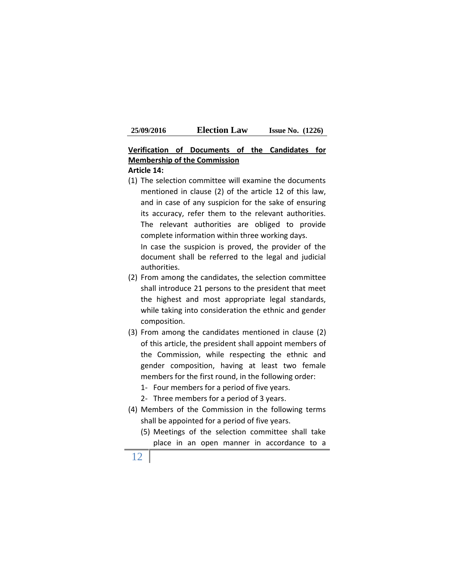| 25/09/2016 | <b>Election Law</b> | <b>Issue No.</b> $(1226)$ |  |
|------------|---------------------|---------------------------|--|
|------------|---------------------|---------------------------|--|

# **Verification of Documents of the Candidates for Membership of the Commission**

#### **Article 14:**

(1) The selection committee will examine the documents mentioned in clause (2) of the article 12 of this law, and in case of any suspicion for the sake of ensuring its accuracy, refer them to the relevant authorities. The relevant authorities are obliged to provide complete information within three working days.

In case the suspicion is proved, the provider of the document shall be referred to the legal and judicial authorities.

- (2) From among the candidates, the selection committee shall introduce 21 persons to the president that meet the highest and most appropriate legal standards, while taking into consideration the ethnic and gender composition.
- (3) From among the candidates mentioned in clause (2) of this article, the president shall appoint members of the Commission, while respecting the ethnic and gender composition, having at least two female members for the first round, in the following order:
	- 1- Four members for a period of five years.
	- 2- Three members for a period of 3 years.
- (4) Members of the Commission in the following terms shall be appointed for a period of five years.
	- (5) Meetings of the selection committee shall take place in an open manner in accordance to a
- 12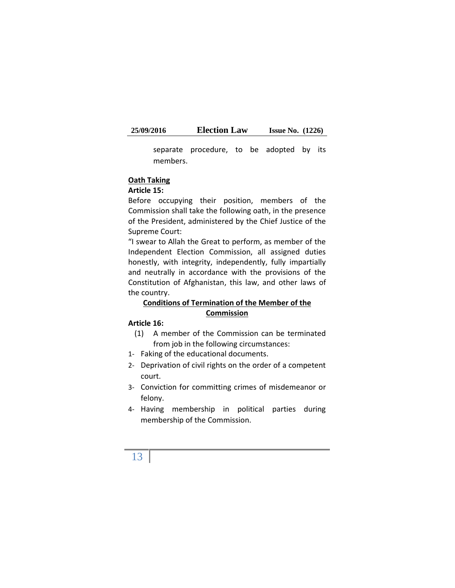separate procedure, to be adopted by its members.

#### **Oath Taking**

#### **Article 15:**

Before occupying their position, members of the Commission shall take the following oath, in the presence of the President, administered by the Chief Justice of the Supreme Court:

"I swear to Allah the Great to perform, as member of the Independent Election Commission, all assigned duties honestly, with integrity, independently, fully impartially and neutrally in accordance with the provisions of the Constitution of Afghanistan, this law, and other laws of the country.

## **Conditions of Termination of the Member of the Commission**

#### **Article 16:**

- (1) A member of the Commission can be terminated from job in the following circumstances:
- 1- Faking of the educational documents.
- 2- Deprivation of civil rights on the order of a competent court.
- 3- Conviction for committing crimes of misdemeanor or felony.
- 4- Having membership in political parties during membership of the Commission.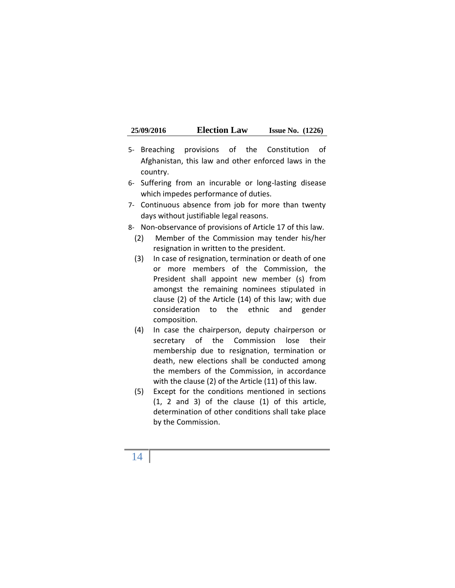| 25/09/2016 | <b>Election Law</b> | <b>Issue No.</b> $(1226)$ |  |
|------------|---------------------|---------------------------|--|
|------------|---------------------|---------------------------|--|

- 5- Breaching provisions of the Constitution of Afghanistan, this law and other enforced laws in the country.
- 6- Suffering from an incurable or long-lasting disease which impedes performance of duties.
- 7- Continuous absence from job for more than twenty days without justifiable legal reasons.
- 8- Non-observance of provisions of Article 17 of this law.
	- (2) Member of the Commission may tender his/her resignation in written to the president.
	- (3) In case of resignation, termination or death of one or more members of the Commission, the President shall appoint new member (s) from amongst the remaining nominees stipulated in clause (2) of the Article (14) of this law; with due consideration to the ethnic and gender composition.
	- (4) In case the chairperson, deputy chairperson or secretary of the Commission lose their membership due to resignation, termination or death, new elections shall be conducted among the members of the Commission, in accordance with the clause (2) of the Article (11) of this law.
	- (5) Except for the conditions mentioned in sections (1, 2 and 3) of the clause (1) of this article, determination of other conditions shall take place by the Commission.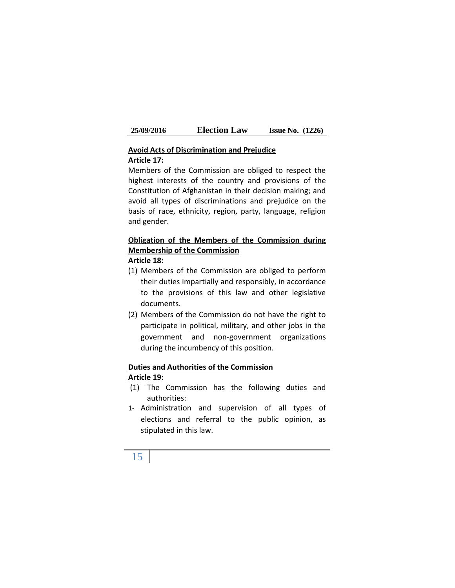#### **Avoid Acts of Discrimination and Prejudice Article 17:**

Members of the Commission are obliged to respect the highest interests of the country and provisions of the Constitution of Afghanistan in their decision making; and avoid all types of discriminations and prejudice on the basis of race, ethnicity, region, party, language, religion and gender.

# **Obligation of the Members of the Commission during Membership of the Commission**

#### **Article 18:**

- (1) Members of the Commission are obliged to perform their duties impartially and responsibly, in accordance to the provisions of this law and other legislative documents.
- (2) Members of the Commission do not have the right to participate in political, military, and other jobs in the government and non-government organizations during the incumbency of this position.

#### **Duties and Authorities of the Commission Article 19:**

- (1) The Commission has the following duties and authorities:
- 1- Administration and supervision of all types of elections and referral to the public opinion, as stipulated in this law.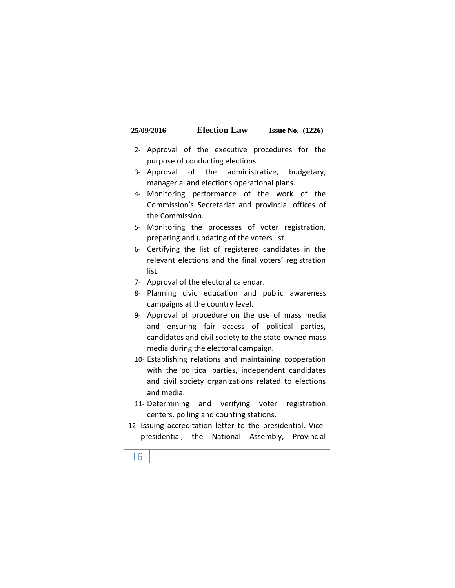| 25/09/2016 | <b>Election Law</b> | <b>Issue No.</b> $(1226)$ |  |
|------------|---------------------|---------------------------|--|
|------------|---------------------|---------------------------|--|

- 2- Approval of the executive procedures for the purpose of conducting elections.
- 3- Approval of the administrative, budgetary, managerial and elections operational plans.
- 4- Monitoring performance of the work of the Commission's Secretariat and provincial offices of the Commission.
- 5- Monitoring the processes of voter registration, preparing and updating of the voters list.
- 6- Certifying the list of registered candidates in the relevant elections and the final voters' registration list.
- 7- Approval of the electoral calendar.
- 8- Planning civic education and public awareness campaigns at the country level.
- 9- Approval of procedure on the use of mass media and ensuring fair access of political parties, candidates and civil society to the state-owned mass media during the electoral campaign.
- 10- Establishing relations and maintaining cooperation with the political parties, independent candidates and civil society organizations related to elections and media.
- 11- Determining and verifying voter registration centers, polling and counting stations.
- 12- Issuing accreditation letter to the presidential, Vice presidential, the National Assembly, Provincial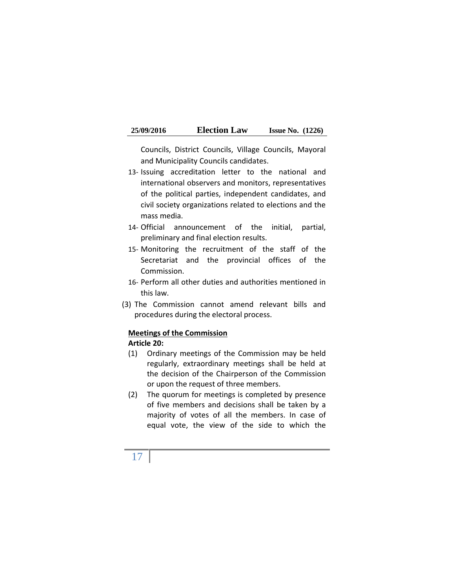Councils, District Councils, Village Councils, Mayoral and Municipality Councils candidates.

- 13- Issuing accreditation letter to the national and international observers and monitors, representatives of the political parties, independent candidates, and civil society organizations related to elections and the mass media.
- 14- Official announcement of the initial, partial, preliminary and final election results.
- 15- Monitoring the recruitment of the staff of the Secretariat and the provincial offices of the Commission.
- 16- Perform all other duties and authorities mentioned in this law.
- (3) The Commission cannot amend relevant bills and procedures during the electoral process.

## **Meetings of the Commission**

## **Article 20:**

- (1) Ordinary meetings of the Commission may be held regularly, extraordinary meetings shall be held at the decision of the Chairperson of the Commission or upon the request of three members.
- (2) The quorum for meetings is completed by presence of five members and decisions shall be taken by a majority of votes of all the members. In case of equal vote, the view of the side to which the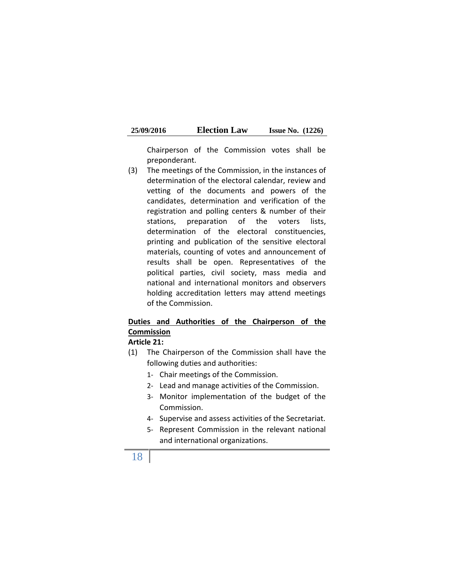| 25/09/2016 | <b>Election Law</b> | <b>Issue No.</b> $(1226)$ |  |
|------------|---------------------|---------------------------|--|
|------------|---------------------|---------------------------|--|

Chairperson of the Commission votes shall be preponderant.

(3) The meetings of the Commission, in the instances of determination of the electoral calendar, review and vetting of the documents and powers of the candidates, determination and verification of the registration and polling centers & number of their stations, preparation of the voters lists, determination of the electoral constituencies, printing and publication of the sensitive electoral materials, counting of votes and announcement of results shall be open. Representatives of the political parties, civil society, mass media and national and international monitors and observers holding accreditation letters may attend meetings of the Commission.

# **Duties and Authorities of the Chairperson of the Commission**

#### **Article 21:**

- (1) The Chairperson of the Commission shall have the following duties and authorities:
	- 1- Chair meetings of the Commission.
	- 2- Lead and manage activities of the Commission.
	- 3- Monitor implementation of the budget of the Commission.
	- 4- Supervise and assess activities of the Secretariat.
	- 5- Represent Commission in the relevant national and international organizations.

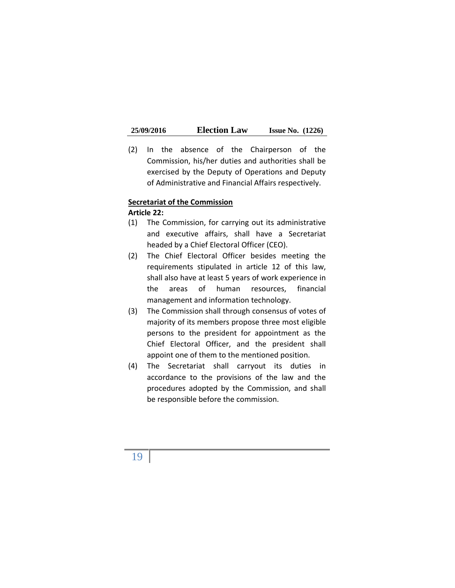(2) In the absence of the Chairperson of the Commission, his/her duties and authorities shall be exercised by the Deputy of Operations and Deputy of Administrative and Financial Affairs respectively.

#### **Secretariat of the Commission**

#### **Article 22:**

- (1) The Commission, for carrying out its administrative and executive affairs, shall have a Secretariat headed by a Chief Electoral Officer (CEO).
- (2) The Chief Electoral Officer besides meeting the requirements stipulated in article 12 of this law, shall also have at least 5 years of work experience in the areas of human resources, financial management and information technology.
- (3) The Commission shall through consensus of votes of majority of its members propose three most eligible persons to the president for appointment as the Chief Electoral Officer, and the president shall appoint one of them to the mentioned position.
- (4) The Secretariat shall carryout its duties in accordance to the provisions of the law and the procedures adopted by the Commission, and shall be responsible before the commission.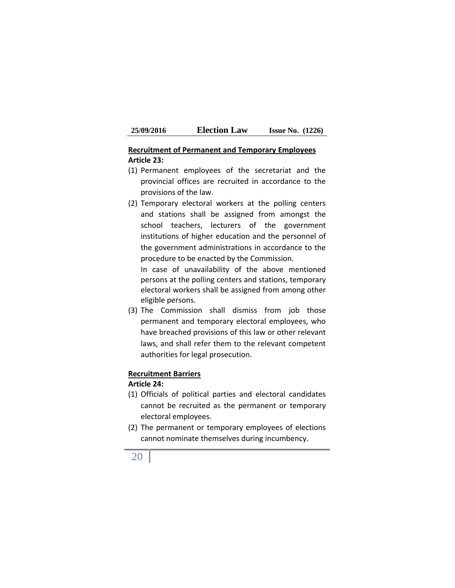## **Recruitment of Permanent and Temporary Employees Article 23:**

- (1) Permanent employees of the secretariat and the provincial offices are recruited in accordance to the provisions of the law.
- (2) Temporary electoral workers at the polling centers and stations shall be assigned from amongst the school teachers, lecturers of the government institutions of higher education and the personnel of the government administrations in accordance to the procedure to be enacted by the Commission.

In case of unavailability of the above mentioned persons at the polling centers and stations, temporary electoral workers shall be assigned from among other eligible persons.

(3) The Commission shall dismiss from job those permanent and temporary electoral employees, who have breached provisions of this law or other relevant laws, and shall refer them to the relevant competent authorities for legal prosecution.

#### **Recruitment Barriers**

#### **Article 24:**

- (1) Officials of political parties and electoral candidates cannot be recruited as the permanent or temporary electoral employees.
- (2) The permanent or temporary employees of elections cannot nominate themselves during incumbency.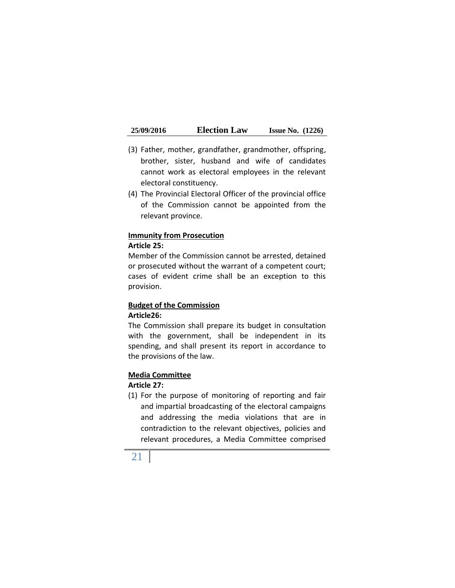- (3) Father, mother, grandfather, grandmother, offspring, brother, sister, husband and wife of candidates cannot work as electoral employees in the relevant electoral constituency.
- (4) The Provincial Electoral Officer of the provincial office of the Commission cannot be appointed from the relevant province.

#### **Immunity from Prosecution**

#### **Article 25:**

Member of the Commission cannot be arrested, detained or prosecuted without the warrant of a competent court; cases of evident crime shall be an exception to this provision.

#### **Budget of the Commission Article26:**

The Commission shall prepare its budget in consultation with the government, shall be independent in its spending, and shall present its report in accordance to the provisions of the law.

#### **Media Committee**

## **Article 27:**

(1) For the purpose of monitoring of reporting and fair and impartial broadcasting of the electoral campaigns and addressing the media violations that are in contradiction to the relevant objectives, policies and relevant procedures, a Media Committee comprised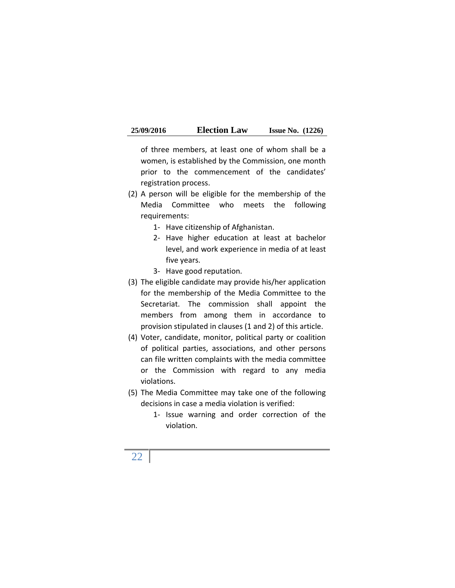| 25/09/2016 | <b>Election Law</b> | <b>Issue No.</b> $(1226)$ |  |
|------------|---------------------|---------------------------|--|
|------------|---------------------|---------------------------|--|

of three members, at least one of whom shall be a women, is established by the Commission, one month prior to the commencement of the candidates' registration process.

- (2) A person will be eligible for the membership of the Media Committee who meets the following requirements:
	- 1- Have citizenship of Afghanistan.
	- 2- Have higher education at least at bachelor level, and work experience in media of at least five years.
	- 3- Have good reputation.
- (3) The eligible candidate may provide his/her application for the membership of the Media Committee to the Secretariat. The commission shall appoint the members from among them in accordance to provision stipulated in clauses (1 and 2) of this article.
- (4) Voter, candidate, monitor, political party or coalition of political parties, associations, and other persons can file written complaints with the media committee or the Commission with regard to any media violations.
- (5) The Media Committee may take one of the following decisions in case a media violation is verified:
	- 1- Issue warning and order correction of the violation.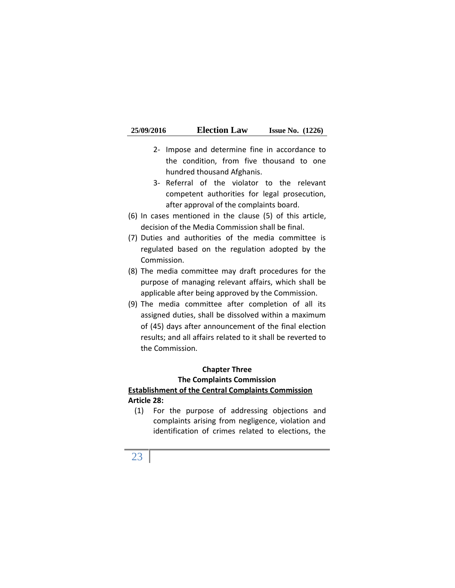| 25/09/2016 | <b>Election Law</b> | <b>Issue No.</b> $(1226)$ |  |
|------------|---------------------|---------------------------|--|
|------------|---------------------|---------------------------|--|

- 2- Impose and determine fine in accordance to the condition, from five thousand to one hundred thousand Afghanis.
- 3- Referral of the violator to the relevant competent authorities for legal prosecution, after approval of the complaints board.
- (6) In cases mentioned in the clause  $(5)$  of this article, decision of the Media Commission shall be final.
- (7) Duties and authorities of the media committee is regulated based on the regulation adopted by the Commission.
- (8) The media committee may draft procedures for the purpose of managing relevant affairs, which shall be applicable after being approved by the Commission.
- (9) The media committee after completion of all its assigned duties, shall be dissolved within a maximum of (45) days after announcement of the final election results; and all affairs related to it shall be reverted to the Commission.

#### **Chapter Three**

#### **The Complaints Commission Establishment of the Central Complaints Commission Article 28:**

(1) For the purpose of addressing objections and complaints arising from negligence, violation and identification of crimes related to elections, the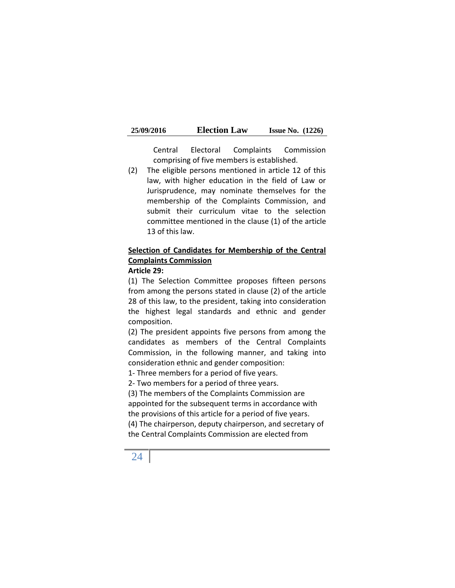| 25/09/2016 | <b>Election Law</b> | <b>Issue No.</b> $(1226)$ |  |
|------------|---------------------|---------------------------|--|
|------------|---------------------|---------------------------|--|

Central Electoral Complaints Commission comprising of five members is established.

(2) The eligible persons mentioned in article 12 of this law, with higher education in the field of Law or Jurisprudence, may nominate themselves for the membership of the Complaints Commission, and submit their curriculum vitae to the selection committee mentioned in the clause (1) of the article 13 of this law.

# **Selection of Candidates for Membership of the Central Complaints Commission**

#### **Article 29:**

(1) The Selection Committee proposes fifteen persons from among the persons stated in clause (2) of the article 28 of this law, to the president, taking into consideration the highest legal standards and ethnic and gender composition.

(2) The president appoints five persons from among the candidates as members of the Central Complaints Commission, in the following manner, and taking into consideration ethnic and gender composition:

1- Three members for a period of five years.

2- Two members for a period of three years.

(3) The members of the Complaints Commission are appointed for the subsequent terms in accordance with the provisions of this article for a period of five years. (4) The chairperson, deputy chairperson, and secretary of the Central Complaints Commission are elected from

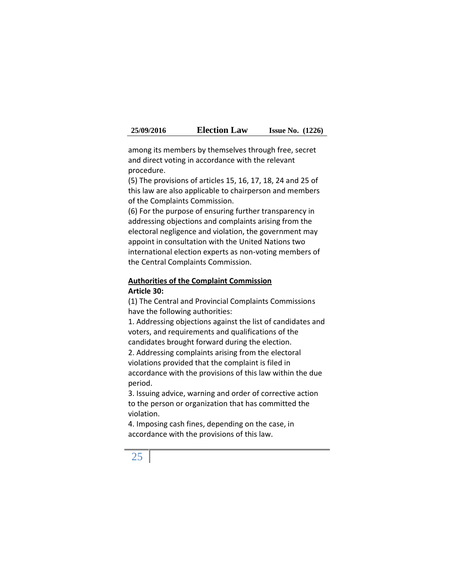| 25/09/2016 | <b>Election Law</b> | <b>Issue No.</b> $(1226)$ |  |
|------------|---------------------|---------------------------|--|
|------------|---------------------|---------------------------|--|

among its members by themselves through free, secret and direct voting in accordance with the relevant procedure.

(5) The provisions of articles 15, 16, 17, 18, 24 and 25 of this law are also applicable to chairperson and members of the Complaints Commission.

(6) For the purpose of ensuring further transparency in addressing objections and complaints arising from the electoral negligence and violation, the government may appoint in consultation with the United Nations two international election experts as non-voting members of the Central Complaints Commission.

## **Authorities of the Complaint Commission Article 30:**

(1) The Central and Provincial Complaints Commissions have the following authorities:

1. Addressing objections against the list of candidates and voters, and requirements and qualifications of the candidates brought forward during the election.

2. Addressing complaints arising from the electoral violations provided that the complaint is filed in accordance with the provisions of this law within the due period.

3. Issuing advice, warning and order of corrective action to the person or organization that has committed the violation.

4. Imposing cash fines, depending on the case, in accordance with the provisions of this law.

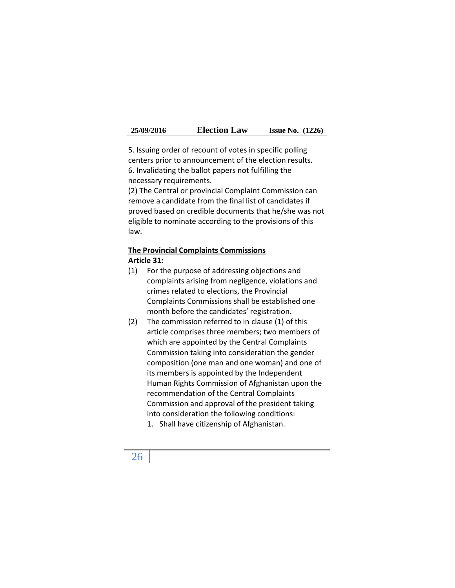| 25/09/2016 | <b>Election Law</b> | <b>Issue No.</b> $(1226)$ |  |  |
|------------|---------------------|---------------------------|--|--|
|------------|---------------------|---------------------------|--|--|

5. Issuing order of recount of votes in specific polling centers prior to announcement of the election results. 6. Invalidating the ballot papers not fulfilling the necessary requirements.

(2) The Central or provincial Complaint Commission can remove a candidate from the final list of candidates if proved based on credible documents that he/she was not eligible to nominate according to the provisions of this law.

## **The Provincial Complaints Commissions Article 31:**

- (1) For the purpose of addressing objections and complaints arising from negligence, violations and crimes related to elections, the Provincial Complaints Commissions shall be established one month before the candidates' registration.
- (2) The commission referred to in clause (1) of this article comprises three members; two members of which are appointed by the Central Complaints Commission taking into consideration the gender composition (one man and one woman) and one of its members is appointed by the Independent Human Rights Commission of Afghanistan upon the recommendation of the Central Complaints Commission and approval of the president taking into consideration the following conditions:
	- 1. Shall have citizenship of Afghanistan.

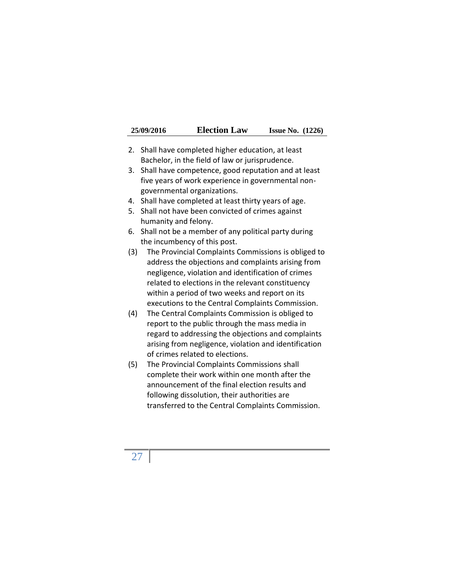| 25/09/2016 | <b>Election Law</b> | <b>Issue No.</b> $(1226)$ |  |
|------------|---------------------|---------------------------|--|
|------------|---------------------|---------------------------|--|

- 2. Shall have completed higher education, at least Bachelor, in the field of law or jurisprudence.
- 3. Shall have competence, good reputation and at least five years of work experience in governmental non governmental organizations.
- 4. Shall have completed at least thirty years of age.
- 5. Shall not have been convicted of crimes against humanity and felony.
- 6. Shall not be a member of any political party during the incumbency of this post.
- (3) The Provincial Complaints Commissions is obliged to address the objections and complaints arising from negligence, violation and identification of crimes related to elections in the relevant constituency within a period of two weeks and report on its executions to the Central Complaints Commission.
- (4) The Central Complaints Commission is obliged to report to the public through the mass media in regard to addressing the objections and complaints arising from negligence, violation and identification of crimes related to elections.
- (5) The Provincial Complaints Commissions shall complete their work within one month after the announcement of the final election results and following dissolution, their authorities are transferred to the Central Complaints Commission.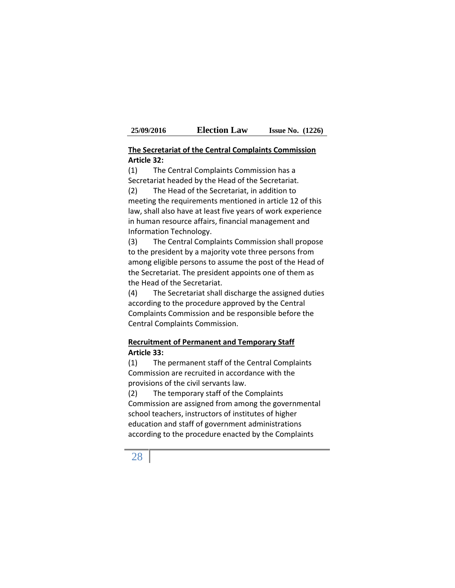#### **The Secretariat of the Central Complaints Commission Article 32:**

(1) The Central Complaints Commission has a Secretariat headed by the Head of the Secretariat. (2) The Head of the Secretariat, in addition to

meeting the requirements mentioned in article 12 of this law, shall also have at least five years of work experience in human resource affairs, financial management and Information Technology.

(3) The Central Complaints Commission shall propose to the president by a majority vote three persons from among eligible persons to assume the post of the Head of the Secretariat. The president appoints one of them as the Head of the Secretariat.

(4) The Secretariat shall discharge the assigned duties according to the procedure approved by the Central Complaints Commission and be responsible before the Central Complaints Commission.

#### **Recruitment of Permanent and Temporary Staff Article 33:**

(1) The permanent staff of the Central Complaints Commission are recruited in accordance with the provisions of the civil servants law.

(2) The temporary staff of the Complaints Commission are assigned from among the governmental school teachers, instructors of institutes of higher education and staff of government administrations according to the procedure enacted by the Complaints

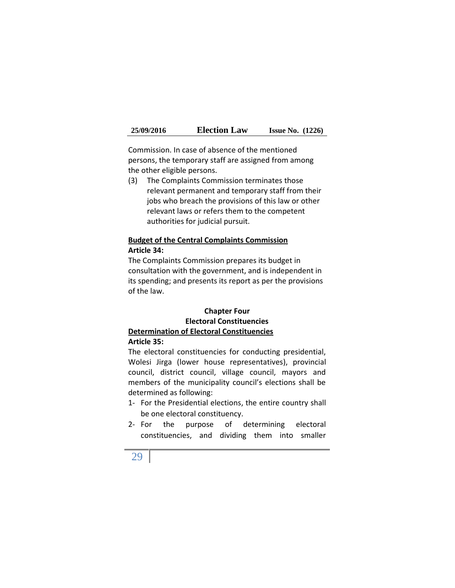| 25/09/2016 | <b>Election Law</b> | <b>Issue No.</b> $(1226)$ |  |
|------------|---------------------|---------------------------|--|
|------------|---------------------|---------------------------|--|

Commission. In case of absence of the mentioned persons, the temporary staff are assigned from among the other eligible persons.

(3) The Complaints Commission terminates those relevant permanent and temporary staff from their jobs who breach the provisions of this law or other relevant laws or refers them to the competent authorities for judicial pursuit.

#### **Budget of the Central Complaints Commission Article 34:**

The Complaints Commission prepares its budget in consultation with the government, and is independent in its spending; and presents its report as per the provisions of the law.

## **Chapter Four Electoral Constituencies Determination of Electoral Constituencies Article 35:**

The electoral constituencies for conducting presidential, Wolesi Jirga (lower house representatives), provincial council, district council, village council, mayors and members of the municipality council's elections shall be determined as following:

- 1- For the Presidential elections, the entire country shall be one electoral constituency.
- 2- For the purpose of determining electoral constituencies, and dividing them into smaller

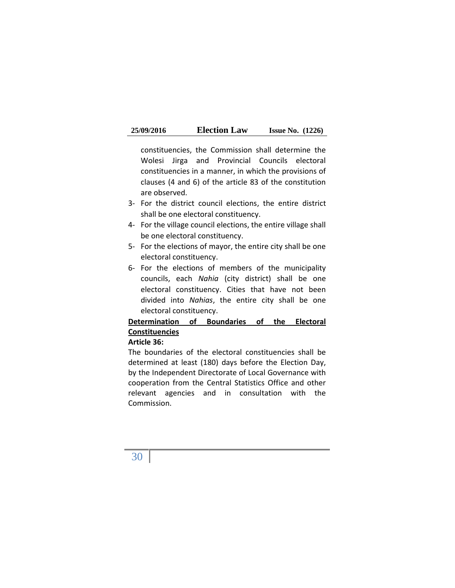| 25/09/2016 | <b>Election Law</b> | <b>Issue No.</b> $(1226)$ |  |
|------------|---------------------|---------------------------|--|
|------------|---------------------|---------------------------|--|

constituencies, the Commission shall determine the Wolesi Jirga and Provincial Councils electoral constituencies in a manner, in which the provisions of clauses (4 and 6) of the article 83 of the constitution are observed.

- 3- For the district council elections, the entire district shall be one electoral constituency.
- 4- For the village council elections, the entire village shall be one electoral constituency.
- 5- For the elections of mayor, the entire city shall be one electoral constituency.
- 6- For the elections of members of the municipality councils, each *Nahia* (city district) shall be one electoral constituency. Cities that have not been divided into *Nahias*, the entire city shall be one electoral constituency.

# **Determination of Boundaries of the Electoral Constituencies**

#### **Article 36:**

The boundaries of the electoral constituencies shall be determined at least (180) days before the Election Day, by the Independent Directorate of Local Governance with cooperation from the Central Statistics Office and other relevant agencies and in consultation with the Commission.

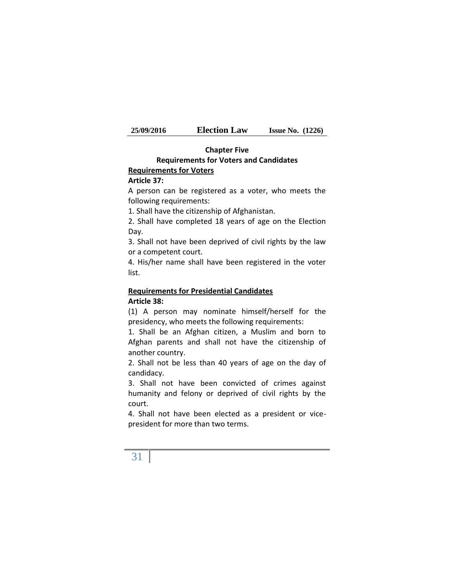| 25/09/2016 | <b>Election Law</b> | <b>Issue No.</b> $(1226)$ |  |
|------------|---------------------|---------------------------|--|
|------------|---------------------|---------------------------|--|

#### **Chapter Five Requirements for Voters and Candidates Requirements for Voters**

#### **Article 37:**

A person can be registered as a voter, who meets the following requirements:

1. Shall have the citizenship of Afghanistan.

2. Shall have completed 18 years of age on the Election Day.

3. Shall not have been deprived of civil rights by the law or a competent court.

4. His/her name shall have been registered in the voter list.

## **Requirements for Presidential Candidates Article 38:**

(1) A person may nominate himself/herself for the presidency, who meets the following requirements:

1. Shall be an Afghan citizen, a Muslim and born to Afghan parents and shall not have the citizenship of another country.

2. Shall not be less than 40 years of age on the day of candidacy.

3. Shall not have been convicted of crimes against humanity and felony or deprived of civil rights by the court.

4. Shall not have been elected as a president or vice president for more than two terms.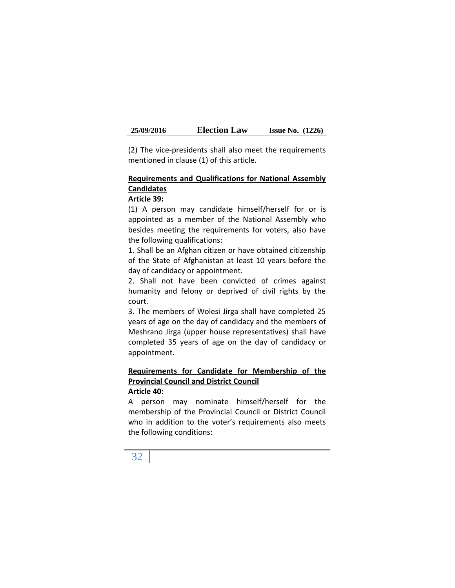(2) The vice-presidents shall also meet the requirements mentioned in clause (1) of this article.

## **Requirements and Qualifications for National Assembly Candidates**

#### **Article 39:**

(1) A person may candidate himself/herself for or is appointed as a member of the National Assembly who besides meeting the requirements for voters, also have the following qualifications:

1. Shall be an Afghan citizen or have obtained citizenship of the State of Afghanistan at least 10 years before the day of candidacy or appointment.

2. Shall not have been convicted of crimes against humanity and felony or deprived of civil rights by the court.

3. The members of Wolesi Jirga shall have completed 25 years of age on the day of candidacy and the members of Meshrano Jirga (upper house representatives) shall have completed 35 years of age on the day of candidacy or appointment.

# **Requirements for Candidate for Membership of the Provincial Council and District Council**

## **Article 40:**

A person may nominate himself/herself for the membership of the Provincial Council or District Council who in addition to the voter's requirements also meets the following conditions:

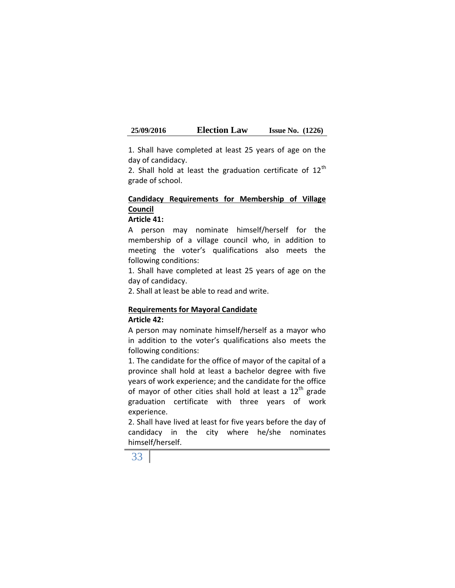1. Shall have completed at least 25 years of age on the day of candidacy.

2. Shall hold at least the graduation certificate of  $12<sup>th</sup>$ grade of school.

# **Candidacy Requirements for Membership of Village Council**

#### **Article 41:**

A person may nominate himself/herself for the membership of a village council who, in addition to meeting the voter's qualifications also meets the following conditions:

1. Shall have completed at least 25 years of age on the day of candidacy.

2. Shall at least be able to read and write.

#### **Requirements for Mayoral Candidate Article 42:**

A person may nominate himself/herself as a mayor who in addition to the voter's qualifications also meets the following conditions:

1. The candidate for the office of mayor of the capital of a province shall hold at least a bachelor degree with five years of work experience; and the candidate for the office of mayor of other cities shall hold at least a  $12<sup>th</sup>$  grade graduation certificate with three years of work experience.

2. Shall have lived at least for five years before the day of candidacy in the city where he/she nominates himself/herself.

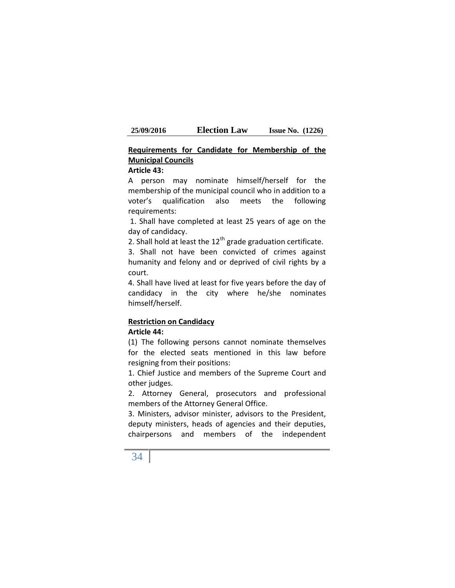## **Requirements for Candidate for Membership of the Municipal Councils**

#### **Article 43:**

A person may nominate himself/herself for the membership of the municipal council who in addition to a voter's qualification also meets the following requirements:

1. Shall have completed at least 25 years of age on the day of candidacy.

2. Shall hold at least the  $12<sup>th</sup>$  grade graduation certificate.

3. Shall not have been convicted of crimes against humanity and felony and or deprived of civil rights by a court.

4. Shall have lived at least for five years before the day of candidacy in the city where he/she nominates himself/herself.

# **Restriction on Candidacy**

## **Article 44:**

(1) The following persons cannot nominate themselves for the elected seats mentioned in this law before resigning from their positions:

1. Chief Justice and members of the Supreme Court and other judges.

2. Attorney General, prosecutors and professional members of the Attorney General Office.

3. Ministers, advisor minister, advisors to the President, deputy ministers, heads of agencies and their deputies, chairpersons and members of the independent

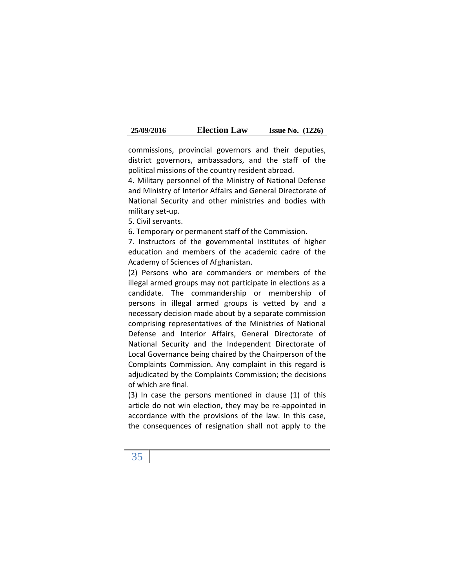| 25/09/2016 | <b>Election Law</b> | <b>Issue No.</b> $(1226)$ |  |
|------------|---------------------|---------------------------|--|
|------------|---------------------|---------------------------|--|

commissions, provincial governors and their deputies, district governors, ambassadors, and the staff of the political missions of the country resident abroad.

4. Military personnel of the Ministry of National Defense and Ministry of Interior Affairs and General Directorate of National Security and other ministries and bodies with military set-up.

5. Civil servants.

6. Temporary or permanent staff of the Commission.

7. Instructors of the governmental institutes of higher education and members of the academic cadre of the Academy of Sciences of Afghanistan.

(2) Persons who are commanders or members of the illegal armed groups may not participate in elections as a candidate. The commandership or membership of persons in illegal armed groups is vetted by and a necessary decision made about by a separate commission comprising representatives of the Ministries of National Defense and Interior Affairs, General Directorate of National Security and the Independent Directorate of Local Governance being chaired by the Chairperson of the Complaints Commission. Any complaint in this regard is adjudicated by the Complaints Commission; the decisions of which are final.

(3) In case the persons mentioned in clause (1) of this article do not win election, they may be re-appointed in accordance with the provisions of the law. In this case, the consequences of resignation shall not apply to the

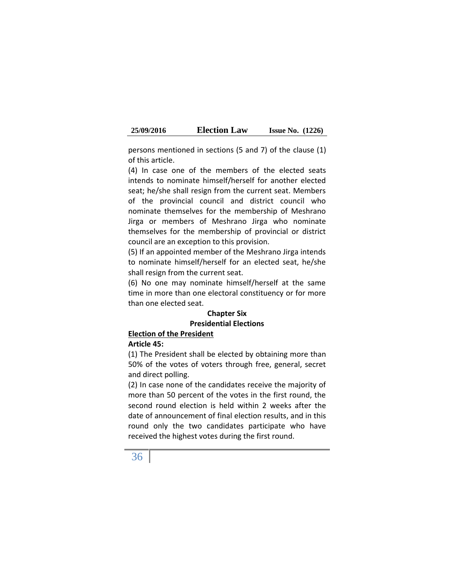| 25/09/2016 | <b>Election Law</b> | <b>Issue No.</b> $(1226)$ |  |
|------------|---------------------|---------------------------|--|
|------------|---------------------|---------------------------|--|

persons mentioned in sections (5 and 7) of the clause (1) of this article.

(4) In case one of the members of the elected seats intends to nominate himself/herself for another elected seat; he/she shall resign from the current seat. Members of the provincial council and district council who nominate themselves for the membership of Meshrano Jirga or members of Meshrano Jirga who nominate themselves for the membership of provincial or district council are an exception to this provision.

(5) If an appointed member of the Meshrano Jirga intends to nominate himself/herself for an elected seat, he/she shall resign from the current seat.

(6) No one may nominate himself/herself at the same time in more than one electoral constituency or for more than one elected seat.

### **Chapter Six Presidential Elections**

### **Election of the President**

#### **Article 45:**

(1) The President shall be elected by obtaining more than 50% of the votes of voters through free, general, secret and direct polling.

(2) In case none of the candidates receive the majority of more than 50 percent of the votes in the first round, the second round election is held within 2 weeks after the date of announcement of final election results, and in this round only the two candidates participate who have received the highest votes during the first round.

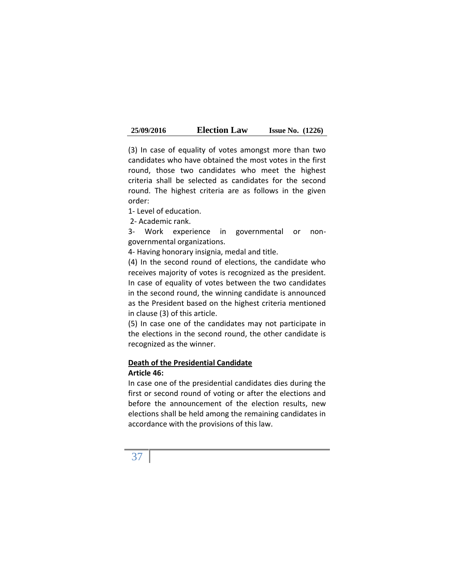| 25/09/2016 | <b>Election Law</b> | <b>Issue No.</b> $(1226)$ |  |
|------------|---------------------|---------------------------|--|
|------------|---------------------|---------------------------|--|

(3) In case of equality of votes amongst more than two candidates who have obtained the most votes in the first round, those two candidates who meet the highest criteria shall be selected as candidates for the second round. The highest criteria are as follows in the given order:

1- Level of education.

2- Academic rank.

3- Work experience in governmental or non governmental organizations.

4- Having honorary insignia, medal and title.

(4) In the second round of elections, the candidate who receives majority of votes is recognized as the president. In case of equality of votes between the two candidates in the second round, the winning candidate is announced as the President based on the highest criteria mentioned in clause (3) of this article.

(5) In case one of the candidates may not participate in the elections in the second round, the other candidate is recognized as the winner.

### **Death of the Presidential Candidate Article 46:**

In case one of the presidential candidates dies during the first or second round of voting or after the elections and before the announcement of the election results, new elections shall be held among the remaining candidates in accordance with the provisions of this law.

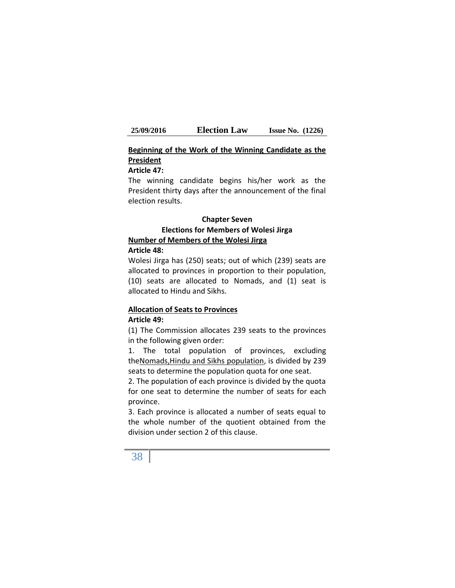## **Beginning of the Work of the Winning Candidate as the President**

#### **Article 47:**

The winning candidate begins his/her work as the President thirty days after the announcement of the final election results.

#### **Chapter Seven**

## **Elections for Members of Wolesi Jirga Number of Members of the Wolesi Jirga**

#### **Article 48:**

Wolesi Jirga has (250) seats; out of which (239) seats are allocated to provinces in proportion to their population, (10) seats are allocated to Nomads, and (1) seat is allocated to Hindu and Sikhs.

#### **Allocation of Seats to Provinces Article 49:**

(1) The Commission allocates 239 seats to the provinces in the following given order:

1. The total population of provinces, excluding theNomads,Hindu and Sikhs population, is divided by 239 seats to determine the population quota for one seat.

2. The population of each province is divided by the quota for one seat to determine the number of seats for each province.

3. Each province is allocated a number of seats equal to the whole number of the quotient obtained from the division under section 2 of this clause.

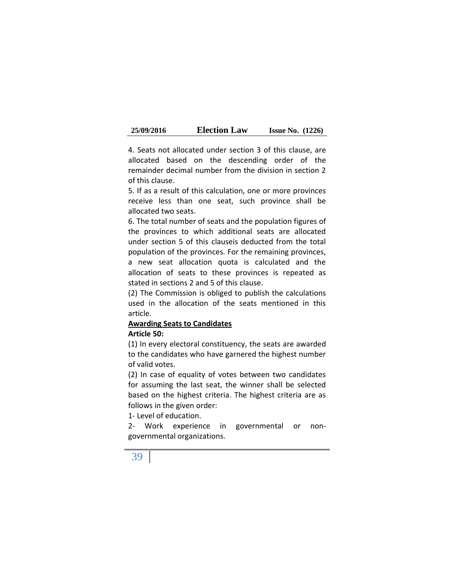| 25/09/2016 | <b>Election Law</b> | <b>Issue No.</b> $(1226)$ |  |
|------------|---------------------|---------------------------|--|
|------------|---------------------|---------------------------|--|

4. Seats not allocated under section 3 of this clause, are allocated based on the descending order of the remainder decimal number from the division in section 2 of this clause.

5. If as a result of this calculation, one or more provinces receive less than one seat, such province shall be allocated two seats.

6. The total number of seats and the population figures of the provinces to which additional seats are allocated under section 5 of this clauseis deducted from the total population of the provinces. For the remaining provinces, a new seat allocation quota is calculated and the allocation of seats to these provinces is repeated as stated in sections 2 and 5 of this clause.

(2) The Commission is obliged to publish the calculations used in the allocation of the seats mentioned in this article.

## **Awarding Seats to Candidates**

#### **Article 50:**

(1) In every electoral constituency, the seats are awarded to the candidates who have garnered the highest number of valid votes.

(2) In case of equality of votes between two candidates for assuming the last seat, the winner shall be selected based on the highest criteria. The highest criteria are as follows in the given order:

1- Level of education.

2- Work experience in governmental or non governmental organizations.

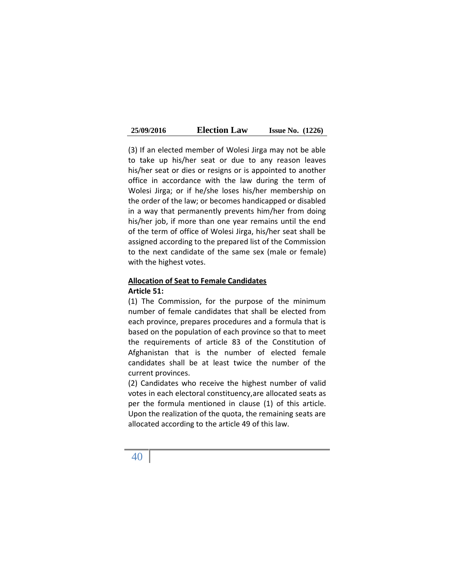| 25/09/2016 | <b>Election Law</b> | <b>Issue No.</b> $(1226)$ |  |
|------------|---------------------|---------------------------|--|
|------------|---------------------|---------------------------|--|

(3) If an elected member of Wolesi Jirga may not be able to take up his/her seat or due to any reason leaves his/her seat or dies or resigns or is appointed to another office in accordance with the law during the term of Wolesi Jirga; or if he/she loses his/her membership on the order of the law; or becomes handicapped or disabled in a way that permanently prevents him/her from doing his/her job, if more than one year remains until the end of the term of office of Wolesi Jirga, his/her seat shall be assigned according to the prepared list of the Commission to the next candidate of the same sex (male or female) with the highest votes.

### **Allocation of Seat to Female Candidates Article 51:**

(1) The Commission, for the purpose of the minimum number of female candidates that shall be elected from each province, prepares procedures and a formula that is based on the population of each province so that to meet the requirements of article 83 of the Constitution of Afghanistan that is the number of elected female candidates shall be at least twice the number of the current provinces.

(2) Candidates who receive the highest number of valid votes in each electoral constituency,are allocated seats as per the formula mentioned in clause (1) of this article. Upon the realization of the quota, the remaining seats are allocated according to the article 49 of this law.

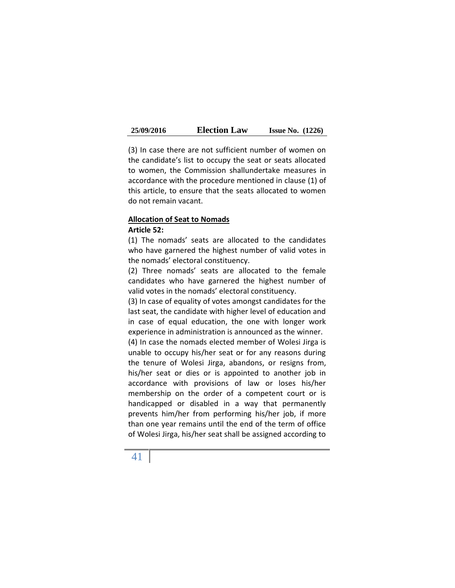| 25/09/2016 | <b>Election Law</b> | <b>Issue No.</b> $(1226)$ |  |
|------------|---------------------|---------------------------|--|
|------------|---------------------|---------------------------|--|

(3) In case there are not sufficient number of women on the candidate's list to occupy the seat or seats allocated to women, the Commission shallundertake measures in accordance with the procedure mentioned in clause (1) of this article, to ensure that the seats allocated to women do not remain vacant.

#### **Allocation of Seat to Nomads Article 52:**

(1) The nomads' seats are allocated to the candidates who have garnered the highest number of valid votes in the nomads' electoral constituency.

(2) Three nomads' seats are allocated to the female candidates who have garnered the highest number of valid votes in the nomads' electoral constituency.

(3) In case of equality of votes amongst candidates for the last seat, the candidate with higher level of education and in case of equal education, the one with longer work experience in administration is announced as the winner.

(4) In case the nomads elected member of Wolesi Jirga is unable to occupy his/her seat or for any reasons during the tenure of Wolesi Jirga, abandons, or resigns from, his/her seat or dies or is appointed to another job in accordance with provisions of law or loses his/her membership on the order of a competent court or is handicapped or disabled in a way that permanently prevents him/her from performing his/her job, if more than one year remains until the end of the term of office of Wolesi Jirga, his/her seat shall be assigned according to

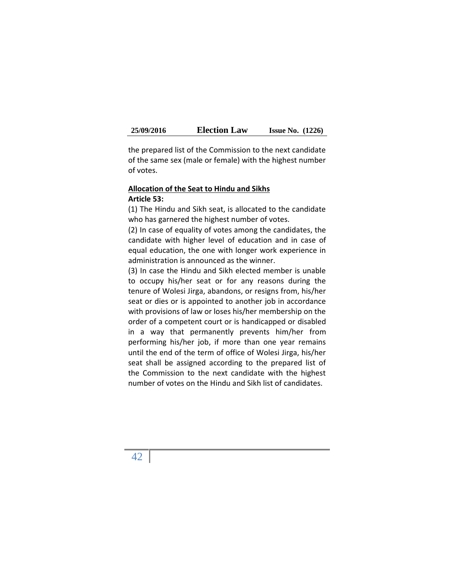| 25/09/2016 | <b>Election Law</b> | <b>Issue No.</b> $(1226)$ |  |
|------------|---------------------|---------------------------|--|
|------------|---------------------|---------------------------|--|

the prepared list of the Commission to the next candidate of the same sex (male or female) with the highest number of votes.

### **Allocation of the Seat to Hindu and Sikhs Article 53:**

(1) The Hindu and Sikh seat, is allocated to the candidate who has garnered the highest number of votes.

(2) In case of equality of votes among the candidates, the candidate with higher level of education and in case of equal education, the one with longer work experience in administration is announced as the winner.

(3) In case the Hindu and Sikh elected member is unable to occupy his/her seat or for any reasons during the tenure of Wolesi Jirga, abandons, or resigns from, his/her seat or dies or is appointed to another job in accordance with provisions of law or loses his/her membership on the order of a competent court or is handicapped or disabled in a way that permanently prevents him/her from performing his/her job, if more than one year remains until the end of the term of office of Wolesi Jirga, his/her seat shall be assigned according to the prepared list of the Commission to the next candidate with the highest number of votes on the Hindu and Sikh list of candidates.

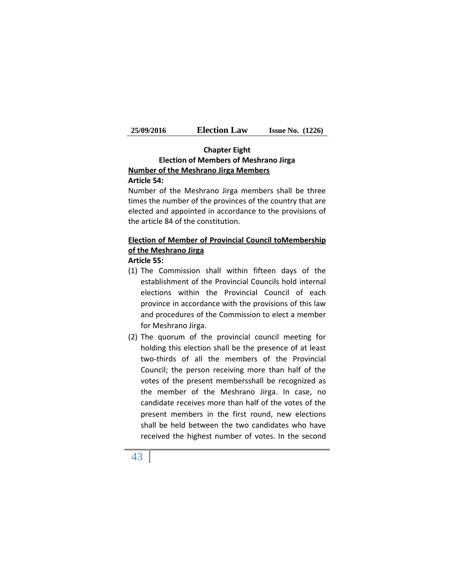| 25/09/2016 | <b>Election Law</b> | <b>Issue No.</b> $(1226)$ |  |
|------------|---------------------|---------------------------|--|
|------------|---------------------|---------------------------|--|

# **Chapter Eight Election of Members of Meshrano Jirga Number of the Meshrano Jirga Members**

## **Article 54:**

Number of the Meshrano Jirga members shall be three times the number of the provinces of the country that are elected and appointed in accordance to the provisions of the article 84 of the constitution.

## **Election of Member of Provincial Council toMembership of the Meshrano Jirga**

#### **Article 55:**

- (1) The Commission shall within fifteen days of the establishment of the Provincial Councils hold internal elections within the Provincial Council of each province in accordance with the provisions of this law and procedures of the Commission to elect a member for Meshrano Jirga.
- (2) The quorum of the provincial council meeting for holding this election shall be the presence of at least two-thirds of all the members of the Provincial Council; the person receiving more than half of the votes of the present membersshall be recognized as the member of the Meshrano Jirga. In case, no candidate receives more than half of the votes of the present members in the first round, new elections shall be held between the two candidates who have received the highest number of votes. In the second

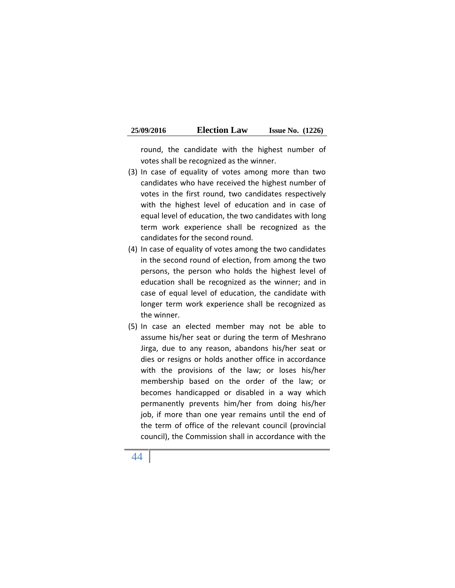| 25/09/2016 | <b>Election Law</b> | <b>Issue No.</b> $(1226)$ |  |
|------------|---------------------|---------------------------|--|
|------------|---------------------|---------------------------|--|

round, the candidate with the highest number of votes shall be recognized as the winner.

- (3) In case of equality of votes among more than two candidates who have received the highest number of votes in the first round, two candidates respectively with the highest level of education and in case of equal level of education, the two candidates with long term work experience shall be recognized as the candidates for the second round.
- (4) In case of equality of votes among the two candidates in the second round of election, from among the two persons, the person who holds the highest level of education shall be recognized as the winner; and in case of equal level of education, the candidate with longer term work experience shall be recognized as the winner.
- (5) In case an elected member may not be able to assume his/her seat or during the term of Meshrano Jirga, due to any reason, abandons his/her seat or dies or resigns or holds another office in accordance with the provisions of the law; or loses his/her membership based on the order of the law; or becomes handicapped or disabled in a way which permanently prevents him/her from doing his/her job, if more than one year remains until the end of the term of office of the relevant council (provincial council), the Commission shall in accordance with the

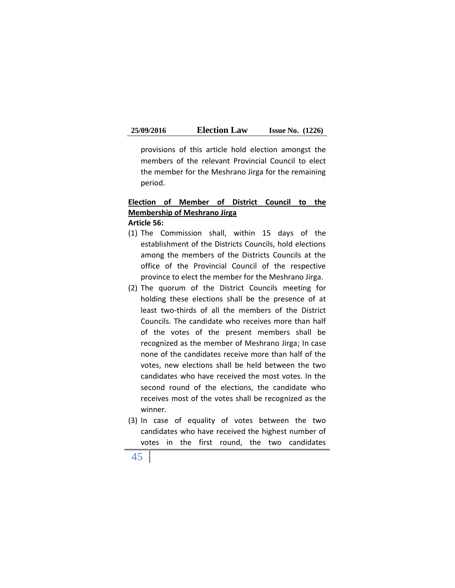provisions of this article hold election amongst the members of the relevant Provincial Council to elect the member for the Meshrano Jirga for the remaining period.

# **Election of Member of District Council to the Membership of Meshrano Jirga**

**Article 56:**

- (1) The Commission shall, within 15 days of the establishment of the Districts Councils, hold elections among the members of the Districts Councils at the office of the Provincial Council of the respective province to elect the member for the Meshrano Jirga.
- (2) The quorum of the District Councils meeting for holding these elections shall be the presence of at least two-thirds of all the members of the District Councils. The candidate who receives more than half of the votes of the present members shall be recognized as the member of Meshrano Jirga; In case none of the candidates receive more than half of the votes, new elections shall be held between the two candidates who have received the most votes. In the second round of the elections, the candidate who receives most of the votes shall be recognized as the winner.
- (3) In case of equality of votes between the two candidates who have received the highest number of votes in the first round, the two candidates
- 45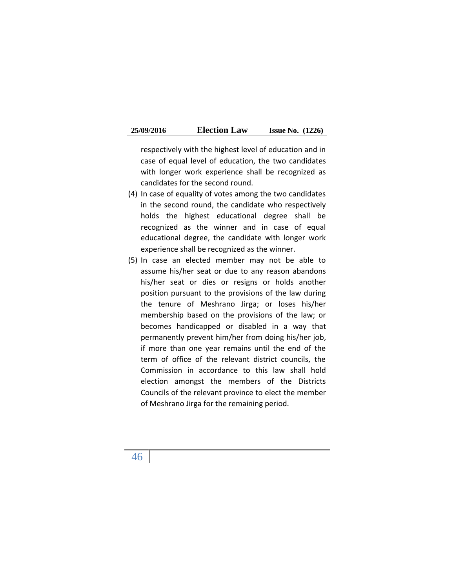| 25/09/2016 | <b>Election Law</b> | <b>Issue No.</b> $(1226)$ |  |
|------------|---------------------|---------------------------|--|
|------------|---------------------|---------------------------|--|

respectively with the highest level of education and in case of equal level of education, the two candidates with longer work experience shall be recognized as candidates for the second round.

- (4) In case of equality of votes among the two candidates in the second round, the candidate who respectively holds the highest educational degree shall be recognized as the winner and in case of equal educational degree, the candidate with longer work experience shall be recognized as the winner.
- (5) In case an elected member may not be able to assume his/her seat or due to any reason abandons his/her seat or dies or resigns or holds another position pursuant to the provisions of the law during the tenure of Meshrano Jirga; or loses his/her membership based on the provisions of the law; or becomes handicapped or disabled in a way that permanently prevent him/her from doing his/her job, if more than one year remains until the end of the term of office of the relevant district councils, the Commission in accordance to this law shall hold election amongst the members of the Districts Councils of the relevant province to elect the member of Meshrano Jirga for the remaining period.

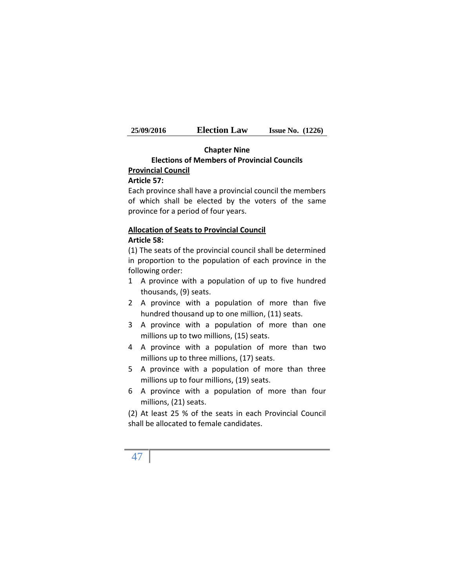| 25/09/2016 | <b>Election Law</b> | <b>Issue No.</b> $(1226)$ |  |
|------------|---------------------|---------------------------|--|
|------------|---------------------|---------------------------|--|

# **Chapter Nine Elections of Members of Provincial Councils**

# **Provincial Council**

## **Article 57:**

Each province shall have a provincial council the members of which shall be elected by the voters of the same province for a period of four years.

## **Allocation of Seats to Provincial Council Article 58:**

(1) The seats of the provincial council shall be determined in proportion to the population of each province in the following order:

- 1 A province with a population of up to five hundred thousands, (9) seats.
- 2 A province with a population of more than five hundred thousand up to one million, (11) seats.
- 3 A province with a population of more than one millions up to two millions, (15) seats.
- 4 A province with a population of more than two millions up to three millions, (17) seats.
- 5 A province with a population of more than three millions up to four millions, (19) seats.
- 6 A province with a population of more than four millions, (21) seats.

(2) At least 25 % of the seats in each Provincial Council shall be allocated to female candidates.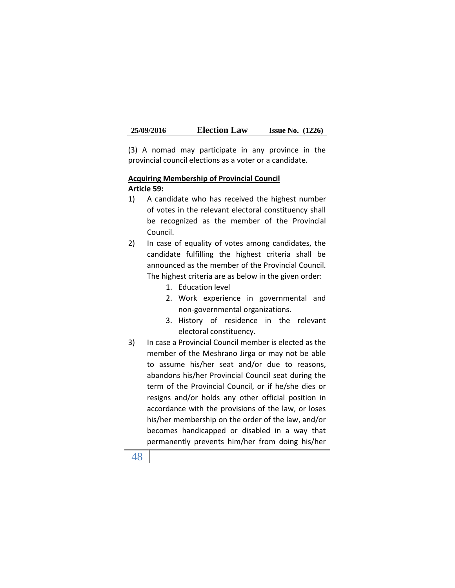(3) A nomad may participate in any province in the provincial council elections as a voter or a candidate.

### **Acquiring Membership of Provincial Council Article 59:**

- 1) A candidate who has received the highest number of votes in the relevant electoral constituency shall be recognized as the member of the Provincial Council.
- 2) In case of equality of votes among candidates, the candidate fulfilling the highest criteria shall be announced as the member of the Provincial Council. The highest criteria are as below in the given order:
	- 1. Education level
	- 2. Work experience in governmental and non-governmental organizations.
	- 3. History of residence in the relevant electoral constituency.
- 3) In case a Provincial Council member is elected as the member of the Meshrano Jirga or may not be able to assume his/her seat and/or due to reasons, abandons his/her Provincial Council seat during the term of the Provincial Council, or if he/she dies or resigns and/or holds any other official position in accordance with the provisions of the law, or loses his/her membership on the order of the law, and/or becomes handicapped or disabled in a way that permanently prevents him/her from doing his/her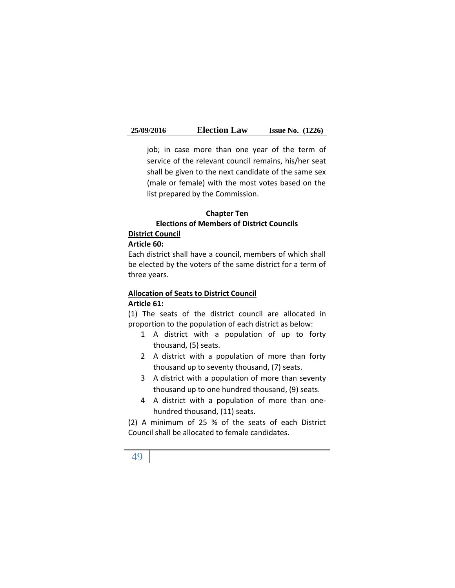job; in case more than one year of the term of service of the relevant council remains, his/her seat shall be given to the next candidate of the same sex (male or female) with the most votes based on the list prepared by the Commission.

## **Chapter Ten Elections of Members of District Councils**

## **District Council**

#### **Article 60:**

Each district shall have a council, members of which shall be elected by the voters of the same district for a term of three years.

## **Allocation of Seats to District Council Article 61:**

(1) The seats of the district council are allocated in proportion to the population of each district as below:

- 1 A district with a population of up to forty thousand, (5) seats.
- 2 A district with a population of more than forty thousand up to seventy thousand, (7) seats.
- 3 A district with a population of more than seventy thousand up to one hundred thousand, (9) seats.
- 4 A district with a population of more than one hundred thousand, (11) seats.

(2) A minimum of 25 % of the seats of each District Council shall be allocated to female candidates.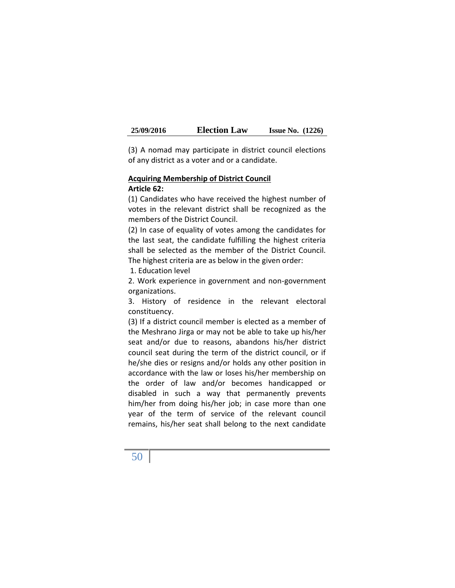| 25/09/2016 | <b>Election Law</b> | <b>Issue No.</b> $(1226)$ |  |
|------------|---------------------|---------------------------|--|
|------------|---------------------|---------------------------|--|

(3) A nomad may participate in district council elections of any district as a voter and or a candidate.

#### **Acquiring Membership of District Council Article 62:**

(1) Candidates who have received the highest number of votes in the relevant district shall be recognized as the members of the District Council.

(2) In case of equality of votes among the candidates for the last seat, the candidate fulfilling the highest criteria shall be selected as the member of the District Council. The highest criteria are as below in the given order:

1. Education level

2. Work experience in government and non-government organizations.

3. History of residence in the relevant electoral constituency.

(3) If a district council member is elected as a member of the Meshrano Jirga or may not be able to take up his/her seat and/or due to reasons, abandons his/her district council seat during the term of the district council, or if he/she dies or resigns and/or holds any other position in accordance with the law or loses his/her membership on the order of law and/or becomes handicapped or disabled in such a way that permanently prevents him/her from doing his/her job; in case more than one year of the term of service of the relevant council remains, his/her seat shall belong to the next candidate

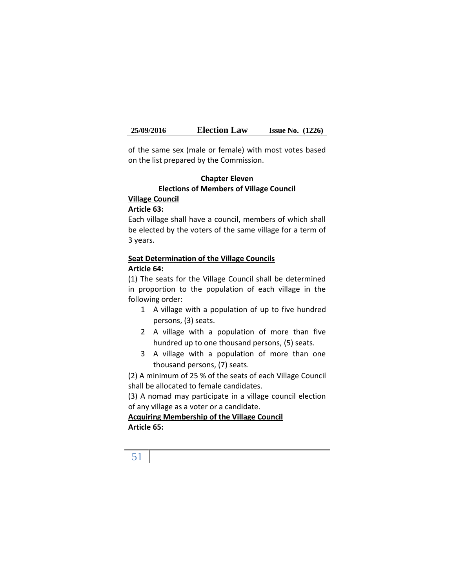of the same sex (male or female) with most votes based on the list prepared by the Commission.

## **Chapter Eleven Elections of Members of Village Council**

## **Village Council**

#### **Article 63:**

Each village shall have a council, members of which shall be elected by the voters of the same village for a term of 3 years.

## **Seat Determination of the Village Councils Article 64:**

(1) The seats for the Village Council shall be determined in proportion to the population of each village in the following order:

- 1 A village with a population of up to five hundred persons, (3) seats.
- 2 A village with a population of more than five hundred up to one thousand persons, (5) seats.
- 3 A village with a population of more than one thousand persons, (7) seats.

(2) A minimum of 25 % of the seats of each Village Council shall be allocated to female candidates.

(3) A nomad may participate in a village council election of any village as a voter or a candidate.

**Acquiring Membership of the Village Council Article 65:**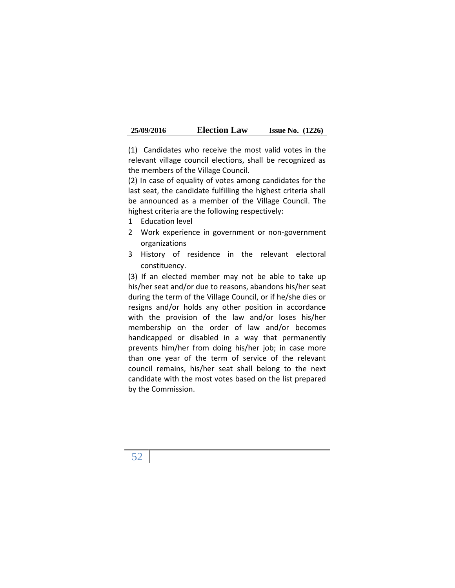| 25/09/2016 | <b>Election Law</b> | <b>Issue No.</b> $(1226)$ |  |
|------------|---------------------|---------------------------|--|
|------------|---------------------|---------------------------|--|

(1) Candidates who receive the most valid votes in the relevant village council elections, shall be recognized as the members of the Village Council.

(2) In case of equality of votes among candidates for the last seat, the candidate fulfilling the highest criteria shall be announced as a member of the Village Council. The highest criteria are the following respectively:

- 1 Education level
- 2 Work experience in government or non-government organizations
- 3 History of residence in the relevant electoral constituency.

(3) If an elected member may not be able to take up his/her seat and/or due to reasons, abandons his/her seat during the term of the Village Council, or if he/she dies or resigns and/or holds any other position in accordance with the provision of the law and/or loses his/her membership on the order of law and/or becomes handicapped or disabled in a way that permanently prevents him/her from doing his/her job; in case more than one year of the term of service of the relevant council remains, his/her seat shall belong to the next candidate with the most votes based on the list prepared by the Commission.

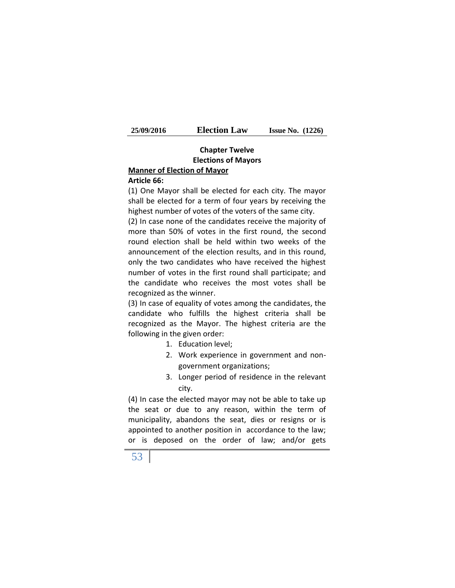| 25/09/2016 | <b>Election Law</b> | <b>Issue No.</b> $(1226)$ |  |
|------------|---------------------|---------------------------|--|
|------------|---------------------|---------------------------|--|

# **Chapter Twelve Elections of Mayors**

# **Manner of Election of Mayor**

## **Article 66:**

(1) One Mayor shall be elected for each city. The mayor shall be elected for a term of four years by receiving the highest number of votes of the voters of the same city.

(2) In case none of the candidates receive the majority of more than 50% of votes in the first round, the second round election shall be held within two weeks of the announcement of the election results, and in this round, only the two candidates who have received the highest number of votes in the first round shall participate; and the candidate who receives the most votes shall be recognized as the winner.

(3) In case of equality of votes among the candidates, the candidate who fulfills the highest criteria shall be recognized as the Mayor. The highest criteria are the following in the given order:

- 1. Education level;
- 2. Work experience in government and non government organizations;
- 3. Longer period of residence in the relevant city.

(4) In case the elected mayor may not be able to take up the seat or due to any reason, within the term of municipality, abandons the seat, dies or resigns or is appointed to another position in accordance to the law; or is deposed on the order of law; and/or gets

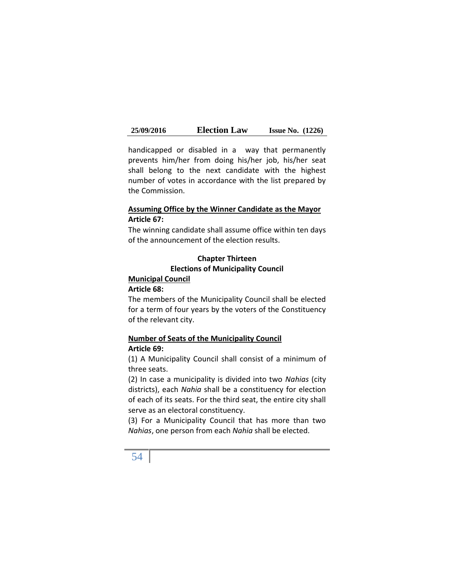handicapped or disabled in a way that permanently prevents him/her from doing his/her job, his/her seat shall belong to the next candidate with the highest number of votes in accordance with the list prepared by the Commission.

### **Assuming Office by the Winner Candidate as the Mayor Article 67:**

The winning candidate shall assume office within ten days of the announcement of the election results.

## **Chapter Thirteen Elections of Municipality Council Municipal Council**

#### **Article 68:**

The members of the Municipality Council shall be elected for a term of four years by the voters of the Constituency of the relevant city.

## **Number of Seats of the Municipality Council Article 69:**

(1) A Municipality Council shall consist of a minimum of three seats.

(2) In case a municipality is divided into two *Nahias* (city districts), each *Nahia* shall be a constituency for election of each of its seats. For the third seat, the entire city shall serve as an electoral constituency.

(3) For a Municipality Council that has more than two *Nahias*, one person from each *Nahia* shall be elected.

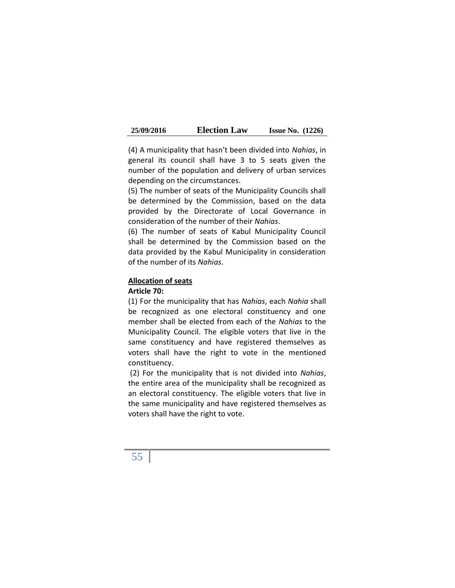| 25/09/2016 | <b>Election Law</b> | <b>Issue No.</b> $(1226)$ |  |
|------------|---------------------|---------------------------|--|
|------------|---------------------|---------------------------|--|

(4) A municipality that hasn't been divided into *Nahias*, in general its council shall have 3 to 5 seats given the number of the population and delivery of urban services depending on the circumstances.

(5) The number of seats of the Municipality Councils shall be determined by the Commission, based on the data provided by the Directorate of Local Governance in consideration of the number of their *Nahias*.

(6) The number of seats of Kabul Municipality Council shall be determined by the Commission based on the data provided by the Kabul Municipality in consideration of the number of its *Nahias*.

#### **Allocation of seats**

#### **Article 70:**

(1) For the municipality that has *Nahias*, each *Nahia* shall be recognized as one electoral constituency and one member shall be elected from each of the *Nahias* to the Municipality Council. The eligible voters that live in the same constituency and have registered themselves as voters shall have the right to vote in the mentioned constituency.

(2) For the municipality that is not divided into *Nahias*, the entire area of the municipality shall be recognized as an electoral constituency. The eligible voters that live in the same municipality and have registered themselves as voters shall have the right to vote.

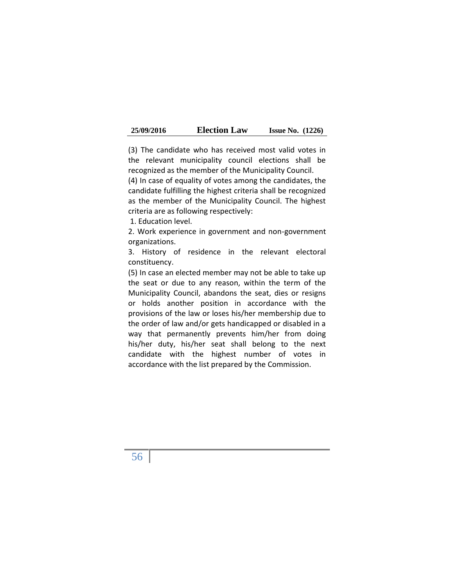| 25/09/2016 | <b>Election Law</b> | <b>Issue No.</b> $(1226)$ |  |
|------------|---------------------|---------------------------|--|
|------------|---------------------|---------------------------|--|

(3) The candidate who has received most valid votes in the relevant municipality council elections shall be recognized as the member of the Municipality Council.

(4) In case of equality of votes among the candidates, the candidate fulfilling the highest criteria shall be recognized as the member of the Municipality Council. The highest criteria are as following respectively:

1. Education level.

2. Work experience in government and non-government organizations.

3. History of residence in the relevant electoral constituency.

(5) In case an elected member may not be able to take up the seat or due to any reason, within the term of the Municipality Council, abandons the seat, dies or resigns or holds another position in accordance with the provisions of the law or loses his/her membership due to the order of law and/or gets handicapped or disabled in a way that permanently prevents him/her from doing his/her duty, his/her seat shall belong to the next candidate with the highest number of votes in accordance with the list prepared by the Commission.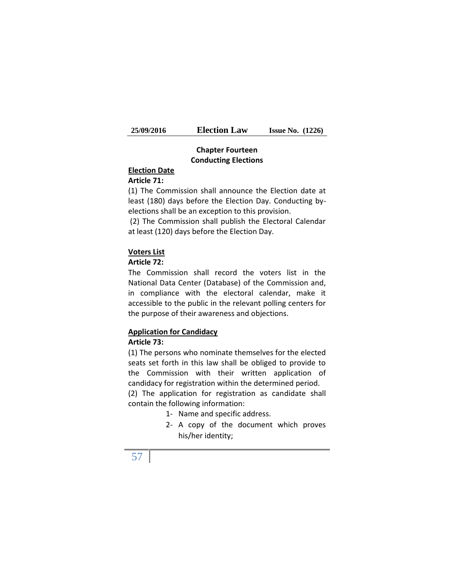| 25/09/2016 | <b>Election Law</b> | <b>Issue No.</b> $(1226)$ |  |
|------------|---------------------|---------------------------|--|
|------------|---------------------|---------------------------|--|

## **Chapter Fourteen Conducting Elections**

## **Election Date**

## **Article 71:**

(1) The Commission shall announce the Election date at least (180) days before the Election Day. Conducting by elections shall be an exception to this provision.

(2) The Commission shall publish the Electoral Calendar at least (120) days before the Election Day.

#### **Voters List**

## **Article 72:**

The Commission shall record the voters list in the National Data Center (Database) of the Commission and, in compliance with the electoral calendar, make it accessible to the public in the relevant polling centers for the purpose of their awareness and objections.

## **Application for Candidacy**

### **Article 73:**

(1) The persons who nominate themselves for the elected seats set forth in this law shall be obliged to provide to the Commission with their written application of candidacy for registration within the determined period.

(2) The application for registration as candidate shall contain the following information:

- 1- Name and specific address.
- 2- A copy of the document which proves his/her identity;

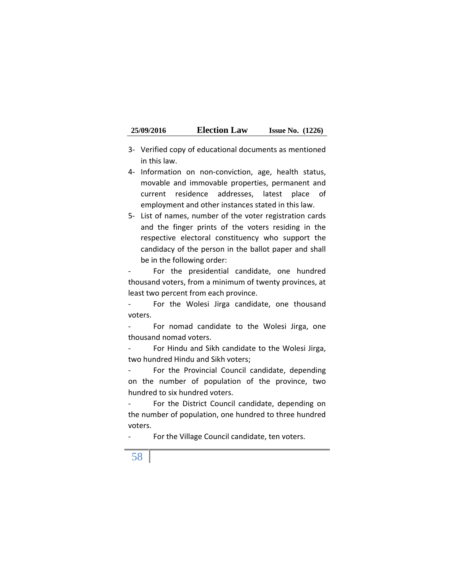- 3- Verified copy of educational documents as mentioned in this law.
- 4- Information on non-conviction, age, health status, movable and immovable properties, permanent and current residence addresses, latest place of employment and other instances stated in this law.
- 5- List of names, number of the voter registration cards and the finger prints of the voters residing in the respective electoral constituency who support the candidacy of the person in the ballot paper and shall be in the following order:

For the presidential candidate, one hundred thousand voters, from a minimum of twenty provinces, at least two percent from each province.

- For the Wolesi Jirga candidate, one thousand voters.

- For nomad candidate to the Wolesi Jirga, one thousand nomad voters.

- For Hindu and Sikh candidate to the Wolesi Jirga, two hundred Hindu and Sikh voters;

- For the Provincial Council candidate, depending on the number of population of the province, two hundred to six hundred voters.

- For the District Council candidate, depending on the number of population, one hundred to three hundred voters.

- For the Village Council candidate, ten voters.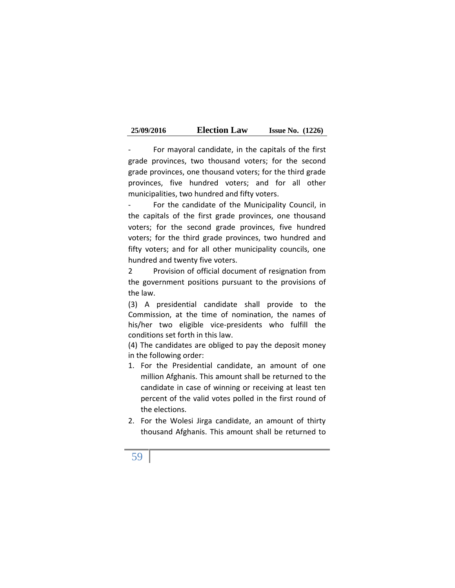| 25/09/2016 | <b>Election Law</b> | <b>Issue No.</b> $(1226)$ |  |
|------------|---------------------|---------------------------|--|
|------------|---------------------|---------------------------|--|

- For mayoral candidate, in the capitals of the first grade provinces, two thousand voters; for the second grade provinces, one thousand voters; for the third grade provinces, five hundred voters; and for all other municipalities, two hundred and fifty voters.

For the candidate of the Municipality Council, in the capitals of the first grade provinces, one thousand voters; for the second grade provinces, five hundred voters; for the third grade provinces, two hundred and fifty voters; and for all other municipality councils, one hundred and twenty five voters.

2 Provision of official document of resignation from the government positions pursuant to the provisions of the law.

(3) A presidential candidate shall provide to the Commission, at the time of nomination, the names of his/her two eligible vice-presidents who fulfill the conditions set forth in this law.

(4) The candidates are obliged to pay the deposit money in the following order:

- 1. For the Presidential candidate, an amount of one million Afghanis. This amount shall be returned to the candidate in case of winning or receiving at least ten percent of the valid votes polled in the first round of the elections.
- 2. For the Wolesi Jirga candidate, an amount of thirty thousand Afghanis. This amount shall be returned to

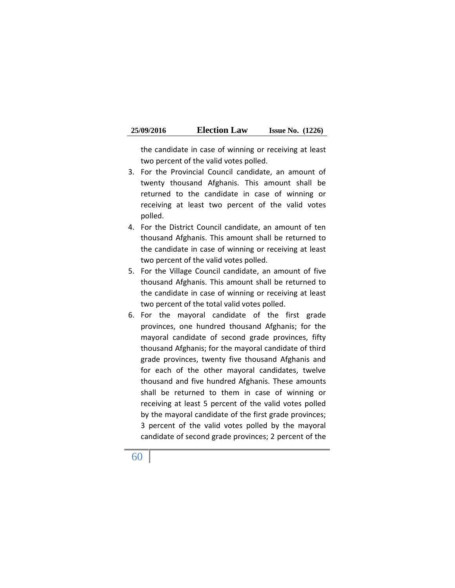| 25/09/2016 | <b>Election Law</b> | <b>Issue No.</b> $(1226)$ |  |
|------------|---------------------|---------------------------|--|
|------------|---------------------|---------------------------|--|

the candidate in case of winning or receiving at least two percent of the valid votes polled.

- 3. For the Provincial Council candidate, an amount of twenty thousand Afghanis. This amount shall be returned to the candidate in case of winning or receiving at least two percent of the valid votes polled.
- 4. For the District Council candidate, an amount of ten thousand Afghanis. This amount shall be returned to the candidate in case of winning or receiving at least two percent of the valid votes polled.
- 5. For the Village Council candidate, an amount of five thousand Afghanis. This amount shall be returned to the candidate in case of winning or receiving at least two percent of the total valid votes polled.
- 6. For the mayoral candidate of the first grade provinces, one hundred thousand Afghanis; for the mayoral candidate of second grade provinces, fifty thousand Afghanis; for the mayoral candidate of third grade provinces, twenty five thousand Afghanis and for each of the other mayoral candidates, twelve thousand and five hundred Afghanis. These amounts shall be returned to them in case of winning or receiving at least 5 percent of the valid votes polled by the mayoral candidate of the first grade provinces; 3 percent of the valid votes polled by the mayoral candidate of second grade provinces; 2 percent of the

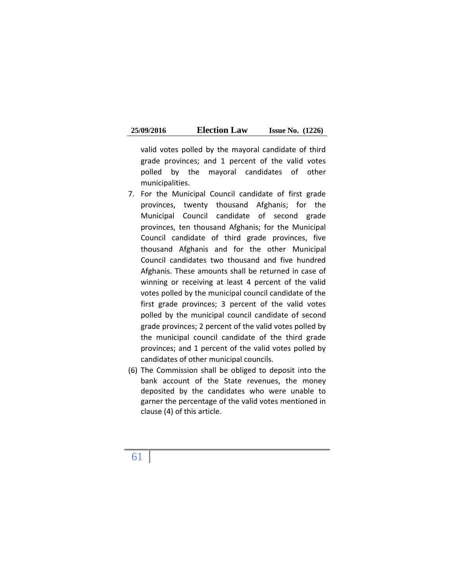| 25/09/2016 | <b>Election Law</b> | <b>Issue No.</b> $(1226)$ |  |
|------------|---------------------|---------------------------|--|
|------------|---------------------|---------------------------|--|

valid votes polled by the mayoral candidate of third grade provinces; and 1 percent of the valid votes polled by the mayoral candidates of other municipalities.

- 7. For the Municipal Council candidate of first grade provinces, twenty thousand Afghanis; for the Municipal Council candidate of second grade provinces, ten thousand Afghanis; for the Municipal Council candidate of third grade provinces, five thousand Afghanis and for the other Municipal Council candidates two thousand and five hundred Afghanis. These amounts shall be returned in case of winning or receiving at least 4 percent of the valid votes polled by the municipal council candidate of the first grade provinces; 3 percent of the valid votes polled by the municipal council candidate of second grade provinces; 2 percent of the valid votes polled by the municipal council candidate of the third grade provinces; and 1 percent of the valid votes polled by candidates of other municipal councils.
- (6) The Commission shall be obliged to deposit into the bank account of the State revenues, the money deposited by the candidates who were unable to garner the percentage of the valid votes mentioned in clause (4) of this article.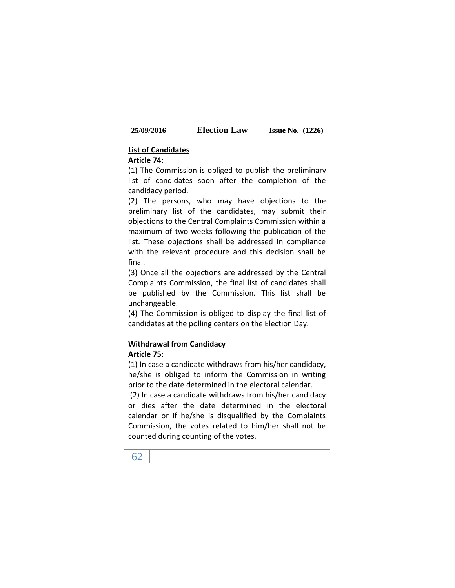| <b>Election Law</b><br><b>25/09/2016</b> | <b>Issue No.</b> $(1226)$ |  |
|------------------------------------------|---------------------------|--|
|------------------------------------------|---------------------------|--|

#### **List of Candidates**

## **Article 74:**

(1) The Commission is obliged to publish the preliminary list of candidates soon after the completion of the candidacy period.

(2) The persons, who may have objections to the preliminary list of the candidates, may submit their objections to the Central Complaints Commission within a maximum of two weeks following the publication of the list. These objections shall be addressed in compliance with the relevant procedure and this decision shall be final.

(3) Once all the objections are addressed by the Central Complaints Commission, the final list of candidates shall be published by the Commission. This list shall be unchangeable.

(4) The Commission is obliged to display the final list of candidates at the polling centers on the Election Day.

#### **Withdrawal from Candidacy Article 75:**

(1) In case a candidate withdraws from his/her candidacy, he/she is obliged to inform the Commission in writing prior to the date determined in the electoral calendar.

(2) In case a candidate withdraws from his/her candidacy or dies after the date determined in the electoral calendar or if he/she is disqualified by the Complaints Commission, the votes related to him/her shall not be counted during counting of the votes.

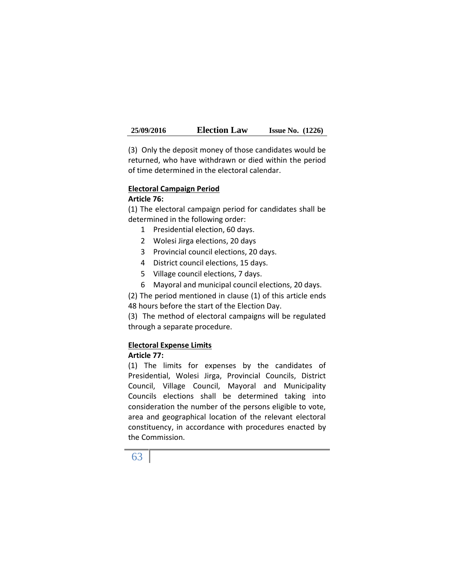(3) Only the deposit money of those candidates would be returned, who have withdrawn or died within the period of time determined in the electoral calendar.

#### **Electoral Campaign Period**

#### **Article 76:**

(1) The electoral campaign period for candidates shall be determined in the following order:

- 1 Presidential election, 60 days.
- 2 Wolesi Jirga elections, 20 days
- 3 Provincial council elections, 20 days.
- 4 District council elections, 15 days.
- 5 Village council elections, 7 days.
- 6 Mayoral and municipal council elections, 20 days.

(2) The period mentioned in clause (1) of this article ends 48 hours before the start of the Election Day.

(3) The method of electoral campaigns will be regulated through a separate procedure.

## **Electoral Expense Limits**

#### **Article 77:**

(1) The limits for expenses by the candidates of Presidential, Wolesi Jirga, Provincial Councils, District Council, Village Council, Mayoral and Municipality Councils elections shall be determined taking into consideration the number of the persons eligible to vote, area and geographical location of the relevant electoral constituency, in accordance with procedures enacted by the Commission.

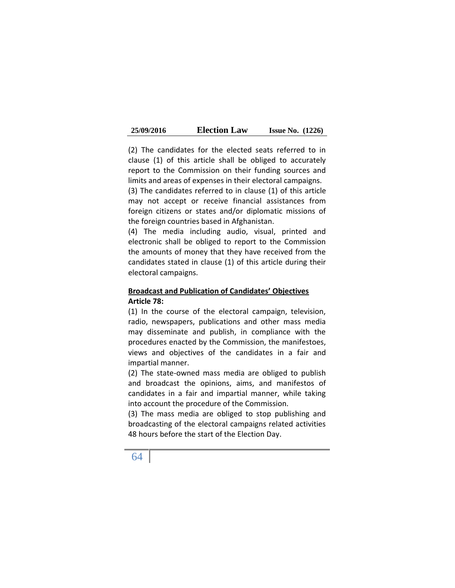| 25/09/2016 | <b>Election Law</b> | <b>Issue No.</b> $(1226)$ |  |
|------------|---------------------|---------------------------|--|
|------------|---------------------|---------------------------|--|

(2) The candidates for the elected seats referred to in clause (1) of this article shall be obliged to accurately report to the Commission on their funding sources and limits and areas of expenses in their electoral campaigns.

(3) The candidates referred to in clause (1) of this article may not accept or receive financial assistances from foreign citizens or states and/or diplomatic missions of the foreign countries based in Afghanistan.

(4) The media including audio, visual, printed and electronic shall be obliged to report to the Commission the amounts of money that they have received from the candidates stated in clause (1) of this article during their electoral campaigns.

## **Broadcast and Publication of Candidates' Objectives Article 78:**

(1) In the course of the electoral campaign, television, radio, newspapers, publications and other mass media may disseminate and publish, in compliance with the procedures enacted by the Commission, the manifestoes, views and objectives of the candidates in a fair and impartial manner.

(2) The state-owned mass media are obliged to publish and broadcast the opinions, aims, and manifestos of candidates in a fair and impartial manner, while taking into account the procedure of the Commission.

(3) The mass media are obliged to stop publishing and broadcasting of the electoral campaigns related activities 48 hours before the start of the Election Day.

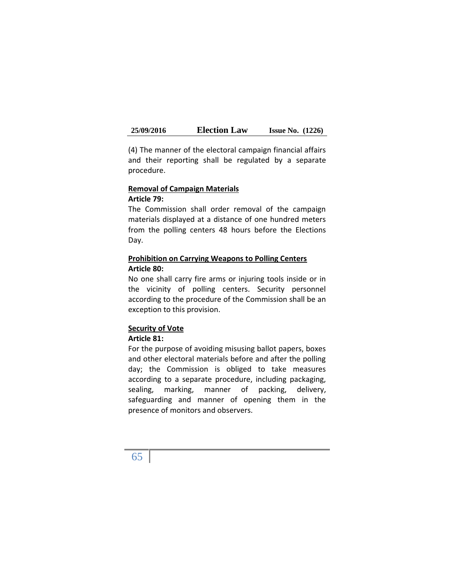(4) The manner of the electoral campaign financial affairs and their reporting shall be regulated by a separate procedure.

#### **Removal of Campaign Materials Article 79:**

The Commission shall order removal of the campaign materials displayed at a distance of one hundred meters from the polling centers 48 hours before the Elections Day.

## **Prohibition on Carrying Weapons to Polling Centers Article 80:**

No one shall carry fire arms or injuring tools inside or in the vicinity of polling centers. Security personnel according to the procedure of the Commission shall be an exception to this provision.

## **Security of Vote**

## **Article 81:**

For the purpose of avoiding misusing ballot papers, boxes and other electoral materials before and after the polling day; the Commission is obliged to take measures according to a separate procedure, including packaging, sealing, marking, manner of packing, delivery, safeguarding and manner of opening them in the presence of monitors and observers.

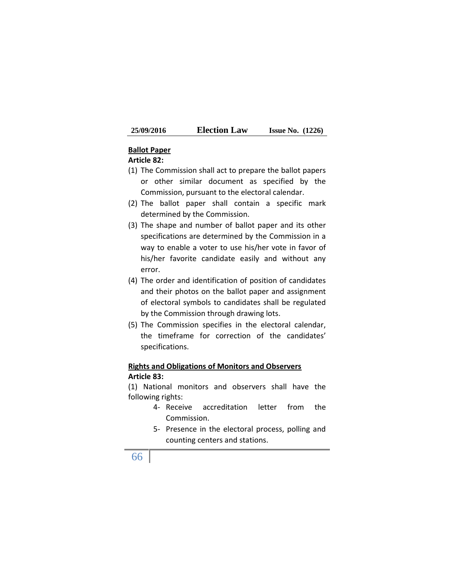| <b>25/09/2016</b> | <b>Election Law</b> | <b>Issue No.</b> $(1226)$ |
|-------------------|---------------------|---------------------------|
|-------------------|---------------------|---------------------------|

### **Ballot Paper**

#### **Article 82:**

- (1) The Commission shall act to prepare the ballot papers or other similar document as specified by the Commission, pursuant to the electoral calendar.
- (2) The ballot paper shall contain a specific mark determined by the Commission.
- (3) The shape and number of ballot paper and its other specifications are determined by the Commission in a way to enable a voter to use his/her vote in favor of his/her favorite candidate easily and without any error.
- (4) The order and identification of position of candidates and their photos on the ballot paper and assignment of electoral symbols to candidates shall be regulated by the Commission through drawing lots.
- (5) The Commission specifies in the electoral calendar, the timeframe for correction of the candidates' specifications.

## **Rights and Obligations of Monitors and Observers Article 83:**

(1) National monitors and observers shall have the following rights:

- 4- Receive accreditation letter from the Commission.
- 5- Presence in the electoral process, polling and counting centers and stations.

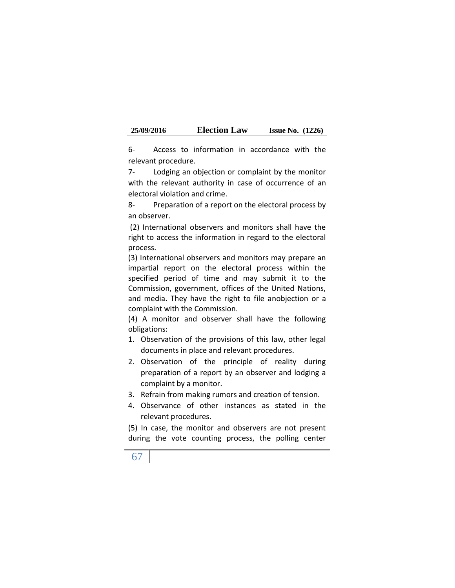| 25/09/2016 | <b>Election Law</b> | <b>Issue No.</b> $(1226)$ |  |
|------------|---------------------|---------------------------|--|
|------------|---------------------|---------------------------|--|

6- Access to information in accordance with the relevant procedure.

7- Lodging an objection or complaint by the monitor with the relevant authority in case of occurrence of an electoral violation and crime.

8- Preparation of a report on the electoral process by an observer.

(2) International observers and monitors shall have the right to access the information in regard to the electoral process.

(3) International observers and monitors may prepare an impartial report on the electoral process within the specified period of time and may submit it to the Commission, government, offices of the United Nations, and media. They have the right to file anobjection or a complaint with the Commission.

(4) A monitor and observer shall have the following obligations:

- 1. Observation of the provisions of this law, other legal documents in place and relevant procedures.
- 2. Observation of the principle of reality during preparation of a report by an observer and lodging a complaint by a monitor.
- 3. Refrain from making rumors and creation of tension.
- 4. Observance of other instances as stated in the relevant procedures.

(5) In case, the monitor and observers are not present during the vote counting process, the polling center

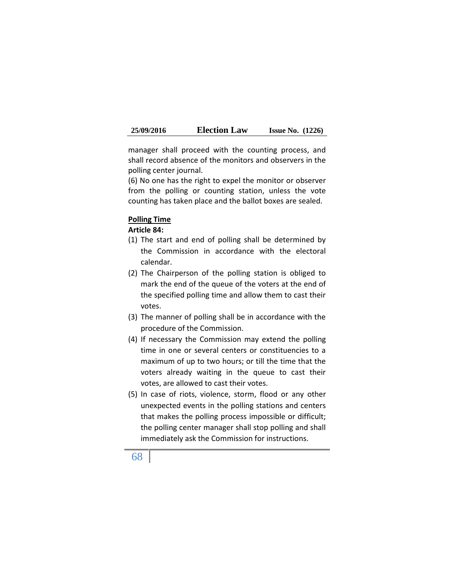| 25/09/2016 | <b>Election Law</b> | <b>Issue No.</b> $(1226)$ |  |
|------------|---------------------|---------------------------|--|
|------------|---------------------|---------------------------|--|

manager shall proceed with the counting process, and shall record absence of the monitors and observers in the polling center journal.

(6) No one has the right to expel the monitor or observer from the polling or counting station, unless the vote counting has taken place and the ballot boxes are sealed.

#### **Polling Time**

**Article 84:**

- (1) The start and end of polling shall be determined by the Commission in accordance with the electoral calendar.
- (2) The Chairperson of the polling station is obliged to mark the end of the queue of the voters at the end of the specified polling time and allow them to cast their votes.
- (3) The manner of polling shall be in accordance with the procedure of the Commission.
- (4) If necessary the Commission may extend the polling time in one or several centers or constituencies to a maximum of up to two hours; or till the time that the voters already waiting in the queue to cast their votes, are allowed to cast their votes.
- (5) In case of riots, violence, storm, flood or any other unexpected events in the polling stations and centers that makes the polling process impossible or difficult; the polling center manager shall stop polling and shall immediately ask the Commission for instructions.
- 68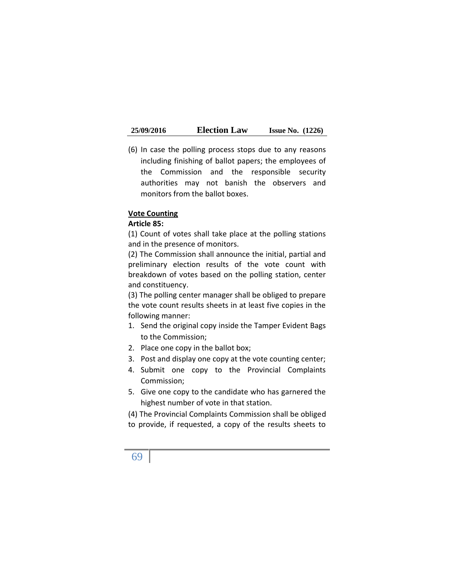(6) In case the polling process stops due to any reasons including finishing of ballot papers; the employees of the Commission and the responsible security authorities may not banish the observers and monitors from the ballot boxes.

#### **Vote Counting**

#### **Article 85:**

(1) Count of votes shall take place at the polling stations and in the presence of monitors.

(2) The Commission shall announce the initial, partial and preliminary election results of the vote count with breakdown of votes based on the polling station, center and constituency.

(3) The polling center manager shall be obliged to prepare the vote count results sheets in at least five copies in the following manner:

- 1. Send the original copy inside the Tamper Evident Bags to the Commission;
- 2. Place one copy in the ballot box;
- 3. Post and display one copy at the vote counting center;
- 4. Submit one copy to the Provincial Complaints Commission;
- 5. Give one copy to the candidate who has garnered the highest number of vote in that station.

(4) The Provincial Complaints Commission shall be obliged to provide, if requested, a copy of the results sheets to

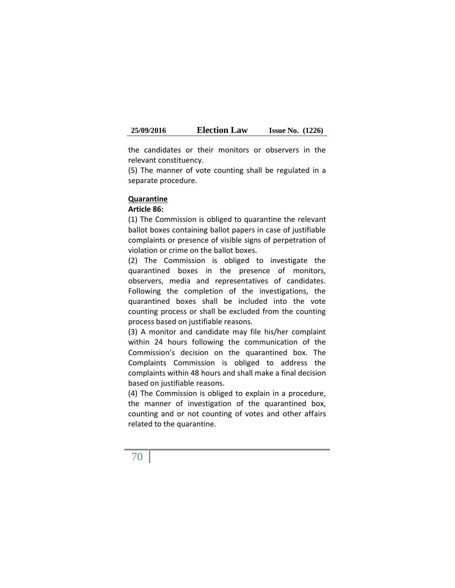the candidates or their monitors or observers in the relevant constituency.

(5) The manner of vote counting shall be regulated in a separate procedure.

#### **Quarantine**

#### **Article 86:**

(1) The Commission is obliged to quarantine the relevant ballot boxes containing ballot papers in case of justifiable complaints or presence of visible signs of perpetration of violation or crime on the ballot boxes.

(2) The Commission is obliged to investigate the quarantined boxes in the presence of monitors, observers, media and representatives of candidates. Following the completion of the investigations, the quarantined boxes shall be included into the vote counting process or shall be excluded from the counting process based on justifiable reasons.

(3) A monitor and candidate may file his/her complaint within 24 hours following the communication of the Commission's decision on the quarantined box. The Complaints Commission is obliged to address the complaints within 48 hours and shall make a final decision based on justifiable reasons.

(4) The Commission is obliged to explain in a procedure, the manner of investigation of the quarantined box, counting and or not counting of votes and other affairs related to the quarantine.

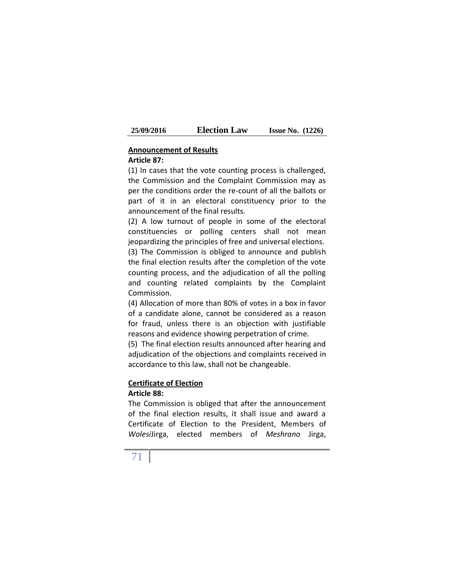| 25/09/2016 | <b>Election Law</b> | <b>Issue No.</b> $(1226)$ |  |
|------------|---------------------|---------------------------|--|
|------------|---------------------|---------------------------|--|

## **Announcement of Results**

## **Article 87:**

(1) In cases that the vote counting process is challenged, the Commission and the Complaint Commission may as per the conditions order the re-count of all the ballots or part of it in an electoral constituency prior to the announcement of the final results.

(2) A low turnout of people in some of the electoral constituencies or polling centers shall not mean jeopardizing the principles of free and universal elections. (3) The Commission is obliged to announce and publish the final election results after the completion of the vote counting process, and the adjudication of all the polling and counting related complaints by the Complaint Commission.

(4) Allocation of more than 80% of votes in a box in favor of a candidate alone, cannot be considered as a reason for fraud, unless there is an objection with justifiable reasons and evidence showing perpetration of crime.

(5) The final election results announced after hearing and adjudication of the objections and complaints received in accordance to this law, shall not be changeable.

## **Certificate of Election**

### **Article 88:**

The Commission is obliged that after the announcement of the final election results, it shall issue and award a Certificate of Election to the President, Members of *Wolesi*Jirga, elected members of *Meshrano* Jirga,

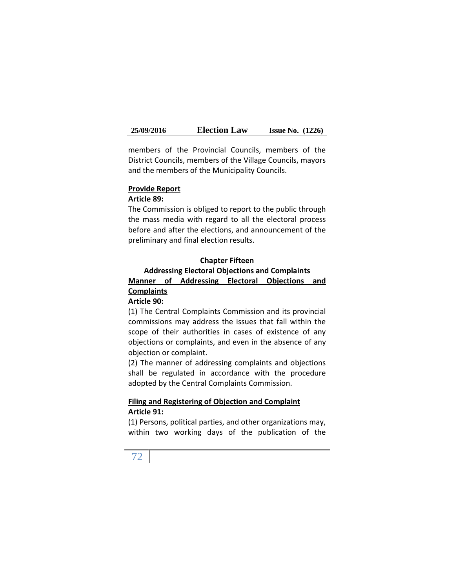members of the Provincial Councils, members of the District Councils, members of the Village Councils, mayors and the members of the Municipality Councils.

### **Provide Report**

#### **Article 89:**

The Commission is obliged to report to the public through the mass media with regard to all the electoral process before and after the elections, and announcement of the preliminary and final election results.

# **Chapter Fifteen Addressing Electoral Objections and Complaints Manner of Addressing Electoral Objections and Complaints**

### **Article 90:**

(1) The Central Complaints Commission and its provincial commissions may address the issues that fall within the scope of their authorities in cases of existence of any objections or complaints, and even in the absence of any objection or complaint.

(2) The manner of addressing complaints and objections shall be regulated in accordance with the procedure adopted by the Central Complaints Commission.

### **Filing and Registering of Objection and Complaint Article 91:**

(1) Persons, political parties, and other organizations may, within two working days of the publication of the

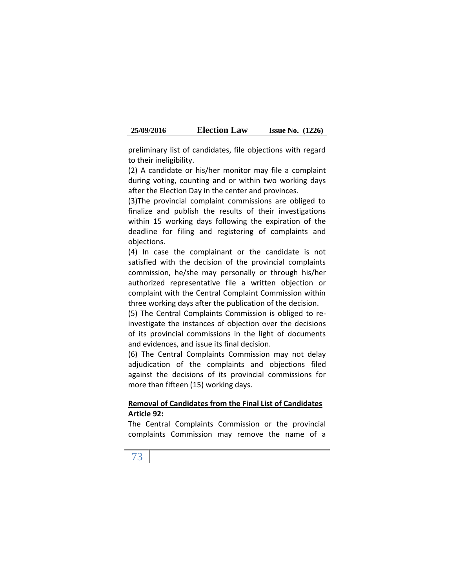| 25/09/2016 | <b>Election Law</b> | <b>Issue No.</b> $(1226)$ |  |
|------------|---------------------|---------------------------|--|
|------------|---------------------|---------------------------|--|

preliminary list of candidates, file objections with regard to their ineligibility.

(2) A candidate or his/her monitor may file a complaint during voting, counting and or within two working days after the Election Day in the center and provinces.

(3)The provincial complaint commissions are obliged to finalize and publish the results of their investigations within 15 working days following the expiration of the deadline for filing and registering of complaints and objections.

(4) In case the complainant or the candidate is not satisfied with the decision of the provincial complaints commission, he/she may personally or through his/her authorized representative file a written objection or complaint with the Central Complaint Commission within three working days after the publication of the decision.

(5) The Central Complaints Commission is obliged to reinvestigate the instances of objection over the decisions of its provincial commissions in the light of documents and evidences, and issue its final decision.

(6) The Central Complaints Commission may not delay adjudication of the complaints and objections filed against the decisions of its provincial commissions for more than fifteen (15) working days.

### **Removal of Candidates from the Final List of Candidates Article 92:**

The Central Complaints Commission or the provincial complaints Commission may remove the name of a

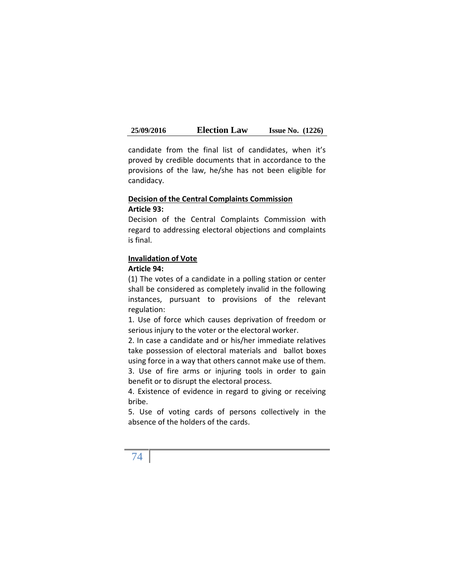candidate from the final list of candidates, when it's proved by credible documents that in accordance to the provisions of the law, he/she has not been eligible for candidacy.

### **Decision of the Central Complaints Commission Article 93:**

Decision of the Central Complaints Commission with regard to addressing electoral objections and complaints is final.

## **Invalidation of Vote**

### **Article 94:**

(1) The votes of a candidate in a polling station or center shall be considered as completely invalid in the following instances, pursuant to provisions of the relevant regulation:

1. Use of force which causes deprivation of freedom or serious injury to the voter or the electoral worker.

2. In case a candidate and or his/her immediate relatives take possession of electoral materials and ballot boxes using force in a way that others cannot make use of them. 3. Use of fire arms or injuring tools in order to gain benefit or to disrupt the electoral process.

4. Existence of evidence in regard to giving or receiving bribe.

5. Use of voting cards of persons collectively in the absence of the holders of the cards.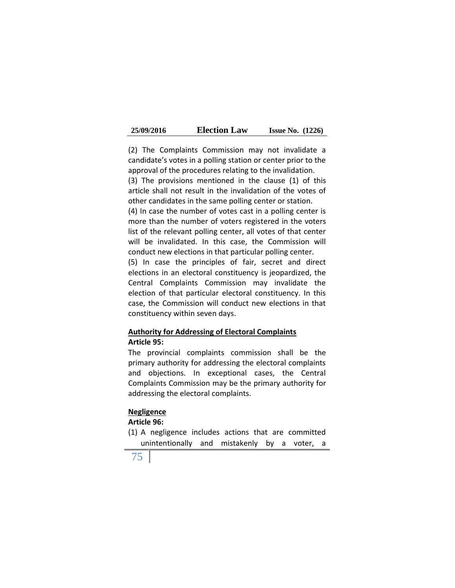| 25/09/2016 | <b>Election Law</b> | <b>Issue No.</b> $(1226)$ |  |
|------------|---------------------|---------------------------|--|
|------------|---------------------|---------------------------|--|

(2) The Complaints Commission may not invalidate a candidate's votes in a polling station or center prior to the approval of the procedures relating to the invalidation. (3) The provisions mentioned in the clause (1) of this article shall not result in the invalidation of the votes of other candidates in the same polling center or station. (4) In case the number of votes cast in a polling center is more than the number of voters registered in the voters

list of the relevant polling center, all votes of that center will be invalidated. In this case, the Commission will conduct new elections in that particular polling center.

(5) In case the principles of fair, secret and direct elections in an electoral constituency is jeopardized, the Central Complaints Commission may invalidate the election of that particular electoral constituency. In this case, the Commission will conduct new elections in that constituency within seven days.

## **Authority for Addressing of Electoral Complaints Article 95:**

The provincial complaints commission shall be the primary authority for addressing the electoral complaints and objections. In exceptional cases, the Central Complaints Commission may be the primary authority for addressing the electoral complaints.

### **Negligence**

### **Article 96:**

- (1) A negligence includes actions that are committed unintentionally and mistakenly by a voter, a
- 75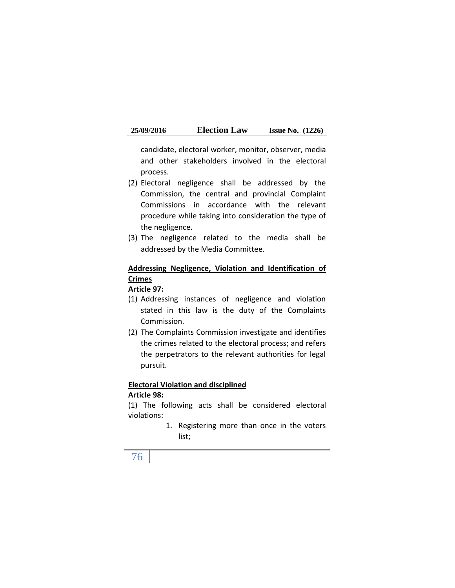candidate, electoral worker, monitor, observer, media and other stakeholders involved in the electoral process.

- (2) Electoral negligence shall be addressed by the Commission, the central and provincial Complaint Commissions in accordance with the relevant procedure while taking into consideration the type of the negligence.
- (3) The negligence related to the media shall be addressed by the Media Committee.

# **Addressing Negligence, Violation and Identification of Crimes**

### **Article 97:**

- (1) Addressing instances of negligence and violation stated in this law is the duty of the Complaints Commission.
- (2) The Complaints Commission investigate and identifies the crimes related to the electoral process; and refers the perpetrators to the relevant authorities for legal pursuit.

### **Electoral Violation and disciplined Article 98:**

(1) The following acts shall be considered electoral violations:

> 1. Registering more than once in the voters list;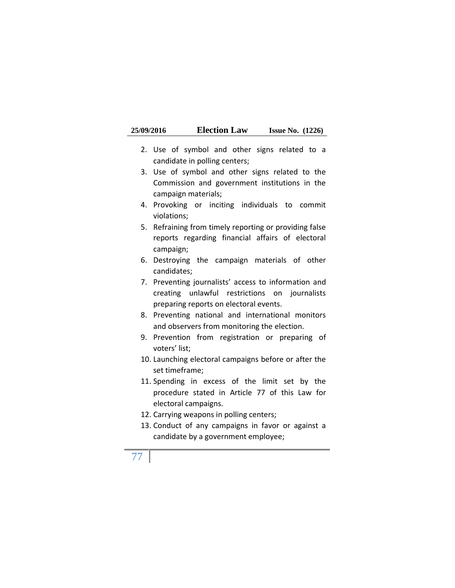| 25/09/2016 | <b>Election Law</b> | <b>Issue No.</b> $(1226)$ |  |
|------------|---------------------|---------------------------|--|
|------------|---------------------|---------------------------|--|

- 2. Use of symbol and other signs related to a candidate in polling centers;
- 3. Use of symbol and other signs related to the Commission and government institutions in the campaign materials;
- 4. Provoking or inciting individuals to commit violations;
- 5. Refraining from timely reporting or providing false reports regarding financial affairs of electoral campaign;
- 6. Destroying the campaign materials of other candidates;
- 7. Preventing journalists' access to information and creating unlawful restrictions on journalists preparing reports on electoral events.
- 8. Preventing national and international monitors and observers from monitoring the election.
- 9. Prevention from registration or preparing of voters' list;
- 10. Launching electoral campaigns before or after the set timeframe;
- 11. Spending in excess of the limit set by the procedure stated in Article 77 of this Law for electoral campaigns.
- 12. Carrying weapons in polling centers;
- 13. Conduct of any campaigns in favor or against a candidate by a government employee;
- 77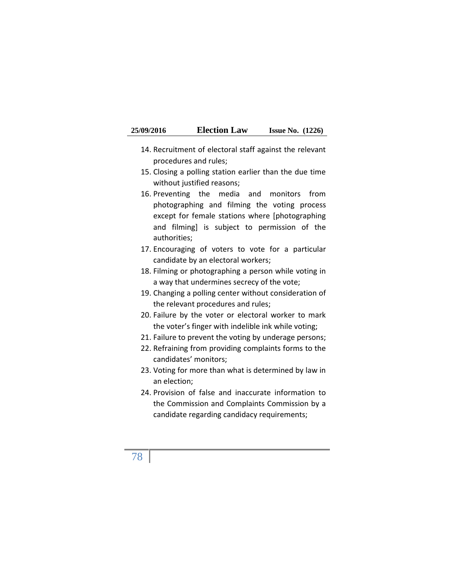| 25/09/2016 | <b>Election Law</b> | <b>Issue No.</b> $(1226)$ |  |
|------------|---------------------|---------------------------|--|
|------------|---------------------|---------------------------|--|

- 14. Recruitment of electoral staff against the relevant procedures and rules;
- 15. Closing a polling station earlier than the due time without justified reasons;
- 16. Preventing the media and monitors from photographing and filming the voting process except for female stations where [photographing and filming] is subject to permission of the authorities;
- 17. Encouraging of voters to vote for a particular candidate by an electoral workers;
- 18. Filming or photographing a person while voting in a way that undermines secrecy of the vote;
- 19. Changing a polling center without consideration of the relevant procedures and rules;
- 20. Failure by the voter or electoral worker to mark the voter's finger with indelible ink while voting;
- 21. Failure to prevent the voting by underage persons;
- 22. Refraining from providing complaints forms to the candidates' monitors;
- 23. Voting for more than what is determined by law in an election;
- 24. Provision of false and inaccurate information to the Commission and Complaints Commission by a candidate regarding candidacy requirements;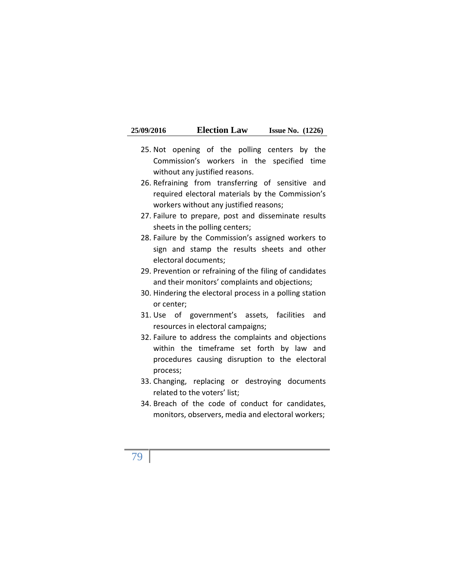| 25/09/2016 | <b>Election Law</b> | <b>Issue No.</b> $(1226)$ |  |
|------------|---------------------|---------------------------|--|
|------------|---------------------|---------------------------|--|

- 25. Not opening of the polling centers by the Commission's workers in the specified time without any justified reasons.
- 26. Refraining from transferring of sensitive and required electoral materials by the Commission's workers without any justified reasons;
- 27. Failure to prepare, post and disseminate results sheets in the polling centers;
- 28. Failure by the Commission's assigned workers to sign and stamp the results sheets and other electoral documents;
- 29. Prevention or refraining of the filing of candidates and their monitors' complaints and objections;
- 30. Hindering the electoral process in a polling station or center;
- 31. Use of government's assets, facilities and resources in electoral campaigns;
- 32. Failure to address the complaints and objections within the timeframe set forth by law and procedures causing disruption to the electoral process;
- 33. Changing, replacing or destroying documents related to the voters' list;
- 34. Breach of the code of conduct for candidates, monitors, observers, media and electoral workers;
- 79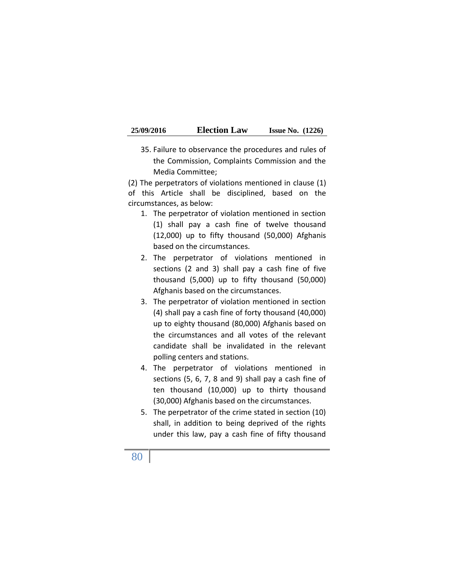| 25/09/2016 | <b>Election Law</b> | <b>Issue No.</b> $(1226)$ |  |
|------------|---------------------|---------------------------|--|
|------------|---------------------|---------------------------|--|

35. Failure to observance the procedures and rules of the Commission, Complaints Commission and the Media Committee;

(2) The perpetrators of violations mentioned in clause (1) of this Article shall be disciplined, based on the circumstances, as below:

- 1. The perpetrator of violation mentioned in section (1) shall pay a cash fine of twelve thousand (12,000) up to fifty thousand (50,000) Afghanis based on the circumstances.
- 2. The perpetrator of violations mentioned in sections (2 and 3) shall pay a cash fine of five thousand (5,000) up to fifty thousand (50,000) Afghanis based on the circumstances.
- 3. The perpetrator of violation mentioned in section (4) shall pay a cash fine of forty thousand (40,000) up to eighty thousand (80,000) Afghanis based on the circumstances and all votes of the relevant candidate shall be invalidated in the relevant polling centers and stations.
- 4. The perpetrator of violations mentioned in sections (5, 6, 7, 8 and 9) shall pay a cash fine of ten thousand (10,000) up to thirty thousand (30,000) Afghanis based on the circumstances.
- 5. The perpetrator of the crime stated in section (10) shall, in addition to being deprived of the rights under this law, pay a cash fine of fifty thousand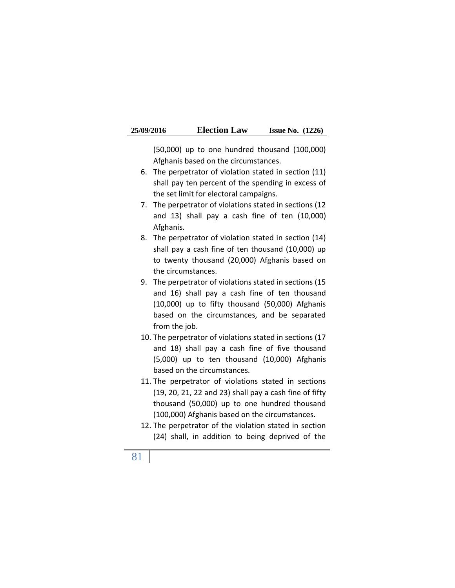| 25/09/2016 | <b>Election Law</b> | <b>Issue No.</b> $(1226)$ |  |
|------------|---------------------|---------------------------|--|
|------------|---------------------|---------------------------|--|

(50,000) up to one hundred thousand (100,000) Afghanis based on the circumstances.

- 6. The perpetrator of violation stated in section (11) shall pay ten percent of the spending in excess of the set limit for electoral campaigns.
- 7. The perpetrator of violations stated in sections (12 and 13) shall pay a cash fine of ten (10,000) Afghanis.
- 8. The perpetrator of violation stated in section (14) shall pay a cash fine of ten thousand (10,000) up to twenty thousand (20,000) Afghanis based on the circumstances.
- 9. The perpetrator of violations stated in sections (15 and 16) shall pay a cash fine of ten thousand (10,000) up to fifty thousand (50,000) Afghanis based on the circumstances, and be separated from the job.
- 10. The perpetrator of violations stated in sections (17 and 18) shall pay a cash fine of five thousand (5,000) up to ten thousand (10,000) Afghanis based on the circumstances.
- 11. The perpetrator of violations stated in sections (19, 20, 21, 22 and 23) shall pay a cash fine of fifty thousand (50,000) up to one hundred thousand (100,000) Afghanis based on the circumstances.
- 12. The perpetrator of the violation stated in section (24) shall, in addition to being deprived of the
- 81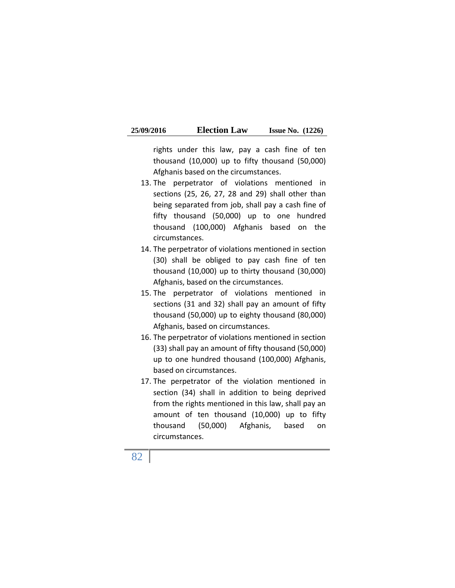| 25/09/2016 | <b>Election Law</b> | <b>Issue No.</b> $(1226)$ |  |
|------------|---------------------|---------------------------|--|
|------------|---------------------|---------------------------|--|

rights under this law, pay a cash fine of ten thousand (10,000) up to fifty thousand (50,000) Afghanis based on the circumstances.

- 13. The perpetrator of violations mentioned in sections (25, 26, 27, 28 and 29) shall other than being separated from job, shall pay a cash fine of fifty thousand (50,000) up to one hundred thousand (100,000) Afghanis based on the circumstances.
- 14. The perpetrator of violations mentioned in section (30) shall be obliged to pay cash fine of ten thousand (10,000) up to thirty thousand (30,000) Afghanis, based on the circumstances.
- 15. The perpetrator of violations mentioned in sections (31 and 32) shall pay an amount of fifty thousand (50,000) up to eighty thousand (80,000) Afghanis, based on circumstances.
- 16. The perpetrator of violations mentioned in section (33) shall pay an amount of fifty thousand (50,000) up to one hundred thousand (100,000) Afghanis, based on circumstances.
- 17. The perpetrator of the violation mentioned in section (34) shall in addition to being deprived from the rights mentioned in this law, shall pay an amount of ten thousand (10,000) up to fifty thousand (50,000) Afghanis, based on circumstances.

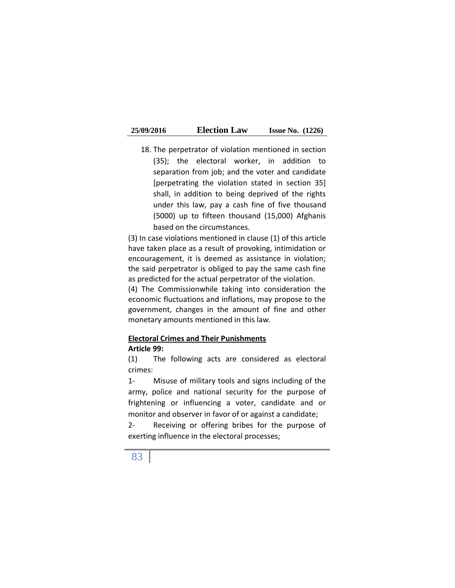18. The perpetrator of violation mentioned in section (35); the electoral worker, in addition to separation from job; and the voter and candidate [perpetrating the violation stated in section 35] shall, in addition to being deprived of the rights under this law, pay a cash fine of five thousand (5000) up to fifteen thousand (15,000) Afghanis based on the circumstances.

(3) In case violations mentioned in clause (1) of this article have taken place as a result of provoking, intimidation or encouragement, it is deemed as assistance in violation; the said perpetrator is obliged to pay the same cash fine as predicted for the actual perpetrator of the violation.

(4) The Commissionwhile taking into consideration the economic fluctuations and inflations, may propose to the government, changes in the amount of fine and other monetary amounts mentioned in this law.

### **Electoral Crimes and Their Punishments**

#### **Article 99:**

(1) The following acts are considered as electoral crimes:

1- Misuse of military tools and signs including of the army, police and national security for the purpose of frightening or influencing a voter, candidate and or monitor and observer in favor of or against a candidate;

2- Receiving or offering bribes for the purpose of exerting influence in the electoral processes;

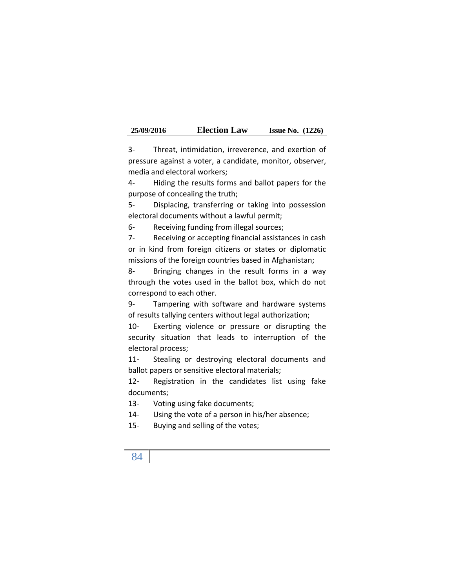| 25/09/2016 | <b>Election Law</b> | <b>Issue No.</b> $(1226)$ |  |
|------------|---------------------|---------------------------|--|
|------------|---------------------|---------------------------|--|

3- Threat, intimidation, irreverence, and exertion of pressure against a voter, a candidate, monitor, observer, media and electoral workers;

4- Hiding the results forms and ballot papers for the purpose of concealing the truth;

5- Displacing, transferring or taking into possession electoral documents without a lawful permit;

6- Receiving funding from illegal sources;

7- Receiving or accepting financial assistances in cash or in kind from foreign citizens or states or diplomatic missions of the foreign countries based in Afghanistan;

8- Bringing changes in the result forms in a way through the votes used in the ballot box, which do not correspond to each other.

9- Tampering with software and hardware systems of results tallying centers without legal authorization;

10- Exerting violence or pressure or disrupting the security situation that leads to interruption of the electoral process;

11- Stealing or destroying electoral documents and ballot papers or sensitive electoral materials;

12- Registration in the candidates list using fake documents;

13- Voting using fake documents;

14- Using the vote of a person in his/her absence;

15- Buying and selling of the votes;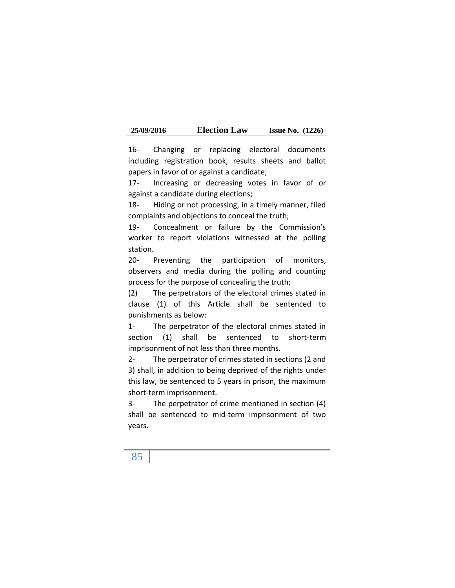| 25/09/2016 | <b>Election Law</b> | <b>Issue No.</b> $(1226)$ |  |
|------------|---------------------|---------------------------|--|
|------------|---------------------|---------------------------|--|

16- Changing or replacing electoral documents including registration book, results sheets and ballot papers in favor of or against a candidate;

17- Increasing or decreasing votes in favor of or against a candidate during elections;

18- Hiding or not processing, in a timely manner, filed complaints and objections to conceal the truth;

19- Concealment or failure by the Commission's worker to report violations witnessed at the polling station.

20- Preventing the participation of monitors, observers and media during the polling and counting process for the purpose of concealing the truth;

(2) The perpetrators of the electoral crimes stated in clause (1) of this Article shall be sentenced to punishments as below:

1- The perpetrator of the electoral crimes stated in section (1) shall be sentenced to short-term imprisonment of not less than three months.

2- The perpetrator of crimes stated in sections (2 and 3) shall, in addition to being deprived of the rights under this law, be sentenced to 5 years in prison, the maximum short-term imprisonment.

3- The perpetrator of crime mentioned in section (4) shall be sentenced to mid-term imprisonment of two years.

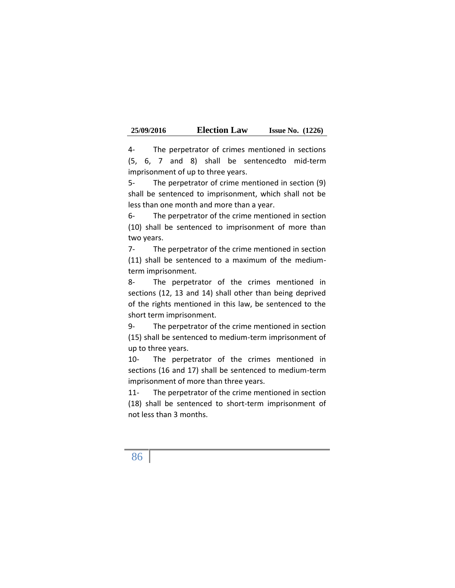| 25/09/2016 | <b>Election Law</b> | <b>Issue No.</b> $(1226)$ |  |
|------------|---------------------|---------------------------|--|
|------------|---------------------|---------------------------|--|

4- The perpetrator of crimes mentioned in sections (5, 6, 7 and 8) shall be sentencedto mid-term imprisonment of up to three years.

5- The perpetrator of crime mentioned in section (9) shall be sentenced to imprisonment, which shall not be less than one month and more than a year.

6- The perpetrator of the crime mentioned in section (10) shall be sentenced to imprisonment of more than two years.

7- The perpetrator of the crime mentioned in section (11) shall be sentenced to a maximum of the medium term imprisonment.

8- The perpetrator of the crimes mentioned in sections (12, 13 and 14) shall other than being deprived of the rights mentioned in this law, be sentenced to the short term imprisonment.

9- The perpetrator of the crime mentioned in section (15) shall be sentenced to medium-term imprisonment of up to three years.

10- The perpetrator of the crimes mentioned in sections (16 and 17) shall be sentenced to medium-term imprisonment of more than three years.

11- The perpetrator of the crime mentioned in section (18) shall be sentenced to short-term imprisonment of not less than 3 months.

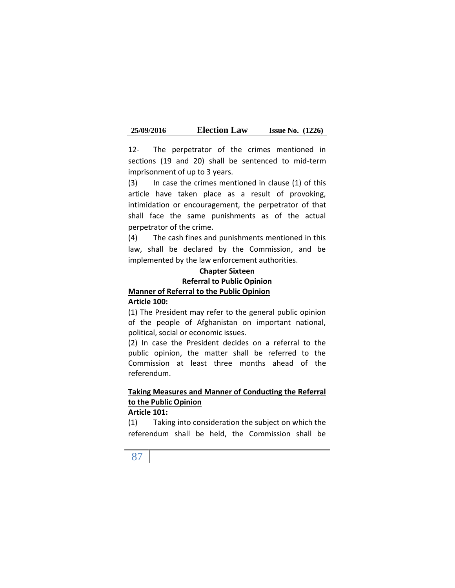| 25/09/2016 | <b>Election Law</b> | <b>Issue No.</b> $(1226)$ |  |
|------------|---------------------|---------------------------|--|
|------------|---------------------|---------------------------|--|

12- The perpetrator of the crimes mentioned in sections (19 and 20) shall be sentenced to mid-term imprisonment of up to 3 years.

(3) In case the crimes mentioned in clause (1) of this article have taken place as a result of provoking, intimidation or encouragement, the perpetrator of that shall face the same punishments as of the actual perpetrator of the crime.

(4) The cash fines and punishments mentioned in this law, shall be declared by the Commission, and be implemented by the law enforcement authorities.

## **Chapter Sixteen Referral to Public Opinion Manner of Referral to the Public Opinion Article 100:**

(1) The President may refer to the general public opinion of the people of Afghanistan on important national, political, social or economic issues.

(2) In case the President decides on a referral to the public opinion, the matter shall be referred to the Commission at least three months ahead of the referendum.

# **Taking Measures and Manner of Conducting the Referral to the Public Opinion**

## **Article 101:**

(1) Taking into consideration the subject on which the referendum shall be held, the Commission shall be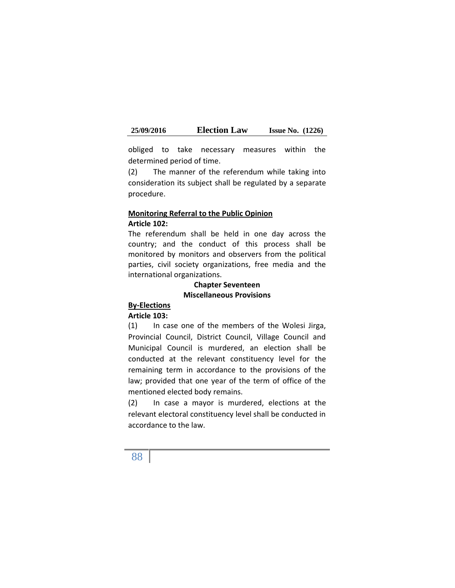obliged to take necessary measures within the determined period of time.

(2) The manner of the referendum while taking into consideration its subject shall be regulated by a separate procedure.

### **Monitoring Referral to the Public Opinion Article 102:**

The referendum shall be held in one day across the country; and the conduct of this process shall be monitored by monitors and observers from the political parties, civil society organizations, free media and the international organizations.

### **Chapter Seventeen Miscellaneous Provisions**

### **By-Elections**

#### **Article 103:**

(1) In case one of the members of the Wolesi Jirga, Provincial Council, District Council, Village Council and Municipal Council is murdered, an election shall be conducted at the relevant constituency level for the remaining term in accordance to the provisions of the law; provided that one year of the term of office of the mentioned elected body remains.

(2) In case a mayor is murdered, elections at the relevant electoral constituency level shall be conducted in accordance to the law.

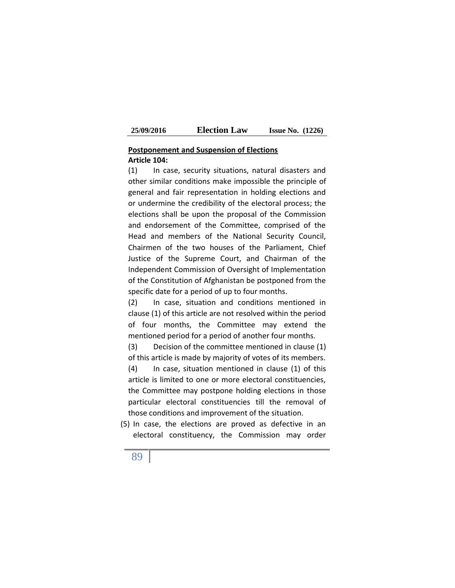### **Postponement and Suspension of Elections Article 104:**

(1) In case, security situations, natural disasters and other similar conditions make impossible the principle of general and fair representation in holding elections and or undermine the credibility of the electoral process; the elections shall be upon the proposal of the Commission and endorsement of the Committee, comprised of the Head and members of the National Security Council, Chairmen of the two houses of the Parliament, Chief Justice of the Supreme Court, and Chairman of the Independent Commission of Oversight of Implementation of the Constitution of Afghanistan be postponed from the specific date for a period of up to four months.

(2) In case, situation and conditions mentioned in clause (1) of this article are not resolved within the period of four months, the Committee may extend the mentioned period for a period of another four months.

(3) Decision of the committee mentioned in clause (1) of this article is made by majority of votes of its members. (4) In case, situation mentioned in clause (1) of this article is limited to one or more electoral constituencies, the Committee may postpone holding elections in those particular electoral constituencies till the removal of those conditions and improvement of the situation.

(5) In case, the elections are proved as defective in an electoral constituency, the Commission may order

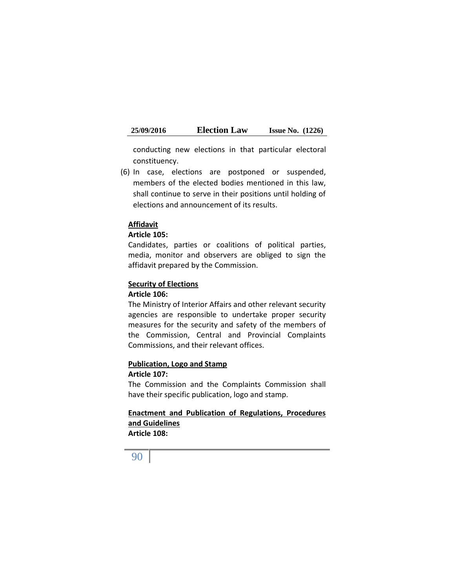conducting new elections in that particular electoral constituency.

(6) In case, elections are postponed or suspended, members of the elected bodies mentioned in this law, shall continue to serve in their positions until holding of elections and announcement of its results.

### **Affidavit**

### **Article 105:**

Candidates, parties or coalitions of political parties, media, monitor and observers are obliged to sign the affidavit prepared by the Commission.

### **Security of Elections**

### **Article 106:**

The Ministry of Interior Affairs and other relevant security agencies are responsible to undertake proper security measures for the security and safety of the members of the Commission, Central and Provincial Complaints Commissions, and their relevant offices.

#### **Publication, Logo and Stamp**

#### **Article 107:**

The Commission and the Complaints Commission shall have their specific publication, logo and stamp.

### **Enactment and Publication of Regulations, Procedures and Guidelines Article 108:**